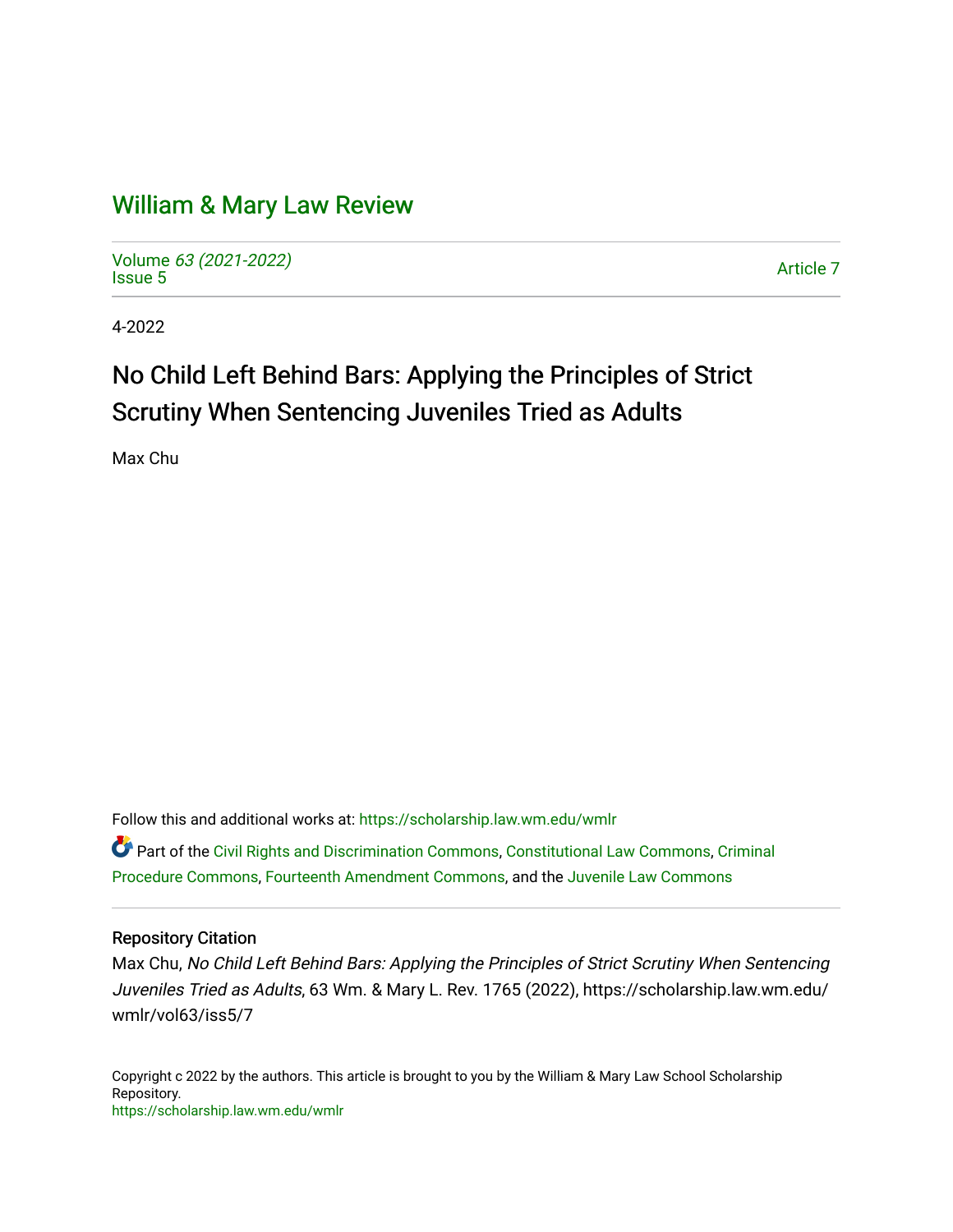## [William & Mary Law Review](https://scholarship.law.wm.edu/wmlr)

Volume [63 \(2021-2022\)](https://scholarship.law.wm.edu/wmlr/vol63)  volume os (2027-2022)<br>[Issue 5](https://scholarship.law.wm.edu/wmlr/vol63/iss5) Article 7

4-2022

# No Child Left Behind Bars: Applying the Principles of Strict Scrutiny When Sentencing Juveniles Tried as Adults

Max Chu

Follow this and additional works at: [https://scholarship.law.wm.edu/wmlr](https://scholarship.law.wm.edu/wmlr?utm_source=scholarship.law.wm.edu%2Fwmlr%2Fvol63%2Fiss5%2F7&utm_medium=PDF&utm_campaign=PDFCoverPages)

Part of the [Civil Rights and Discrimination Commons,](https://network.bepress.com/hgg/discipline/585?utm_source=scholarship.law.wm.edu%2Fwmlr%2Fvol63%2Fiss5%2F7&utm_medium=PDF&utm_campaign=PDFCoverPages) [Constitutional Law Commons,](https://network.bepress.com/hgg/discipline/589?utm_source=scholarship.law.wm.edu%2Fwmlr%2Fvol63%2Fiss5%2F7&utm_medium=PDF&utm_campaign=PDFCoverPages) [Criminal](https://network.bepress.com/hgg/discipline/1073?utm_source=scholarship.law.wm.edu%2Fwmlr%2Fvol63%2Fiss5%2F7&utm_medium=PDF&utm_campaign=PDFCoverPages) [Procedure Commons](https://network.bepress.com/hgg/discipline/1073?utm_source=scholarship.law.wm.edu%2Fwmlr%2Fvol63%2Fiss5%2F7&utm_medium=PDF&utm_campaign=PDFCoverPages), [Fourteenth Amendment Commons,](https://network.bepress.com/hgg/discipline/1116?utm_source=scholarship.law.wm.edu%2Fwmlr%2Fvol63%2Fiss5%2F7&utm_medium=PDF&utm_campaign=PDFCoverPages) and the [Juvenile Law Commons](https://network.bepress.com/hgg/discipline/851?utm_source=scholarship.law.wm.edu%2Fwmlr%2Fvol63%2Fiss5%2F7&utm_medium=PDF&utm_campaign=PDFCoverPages) 

## Repository Citation

Max Chu, No Child Left Behind Bars: Applying the Principles of Strict Scrutiny When Sentencing Juveniles Tried as Adults, 63 Wm. & Mary L. Rev. 1765 (2022), https://scholarship.law.wm.edu/ wmlr/vol63/iss5/7

Copyright c 2022 by the authors. This article is brought to you by the William & Mary Law School Scholarship Repository. <https://scholarship.law.wm.edu/wmlr>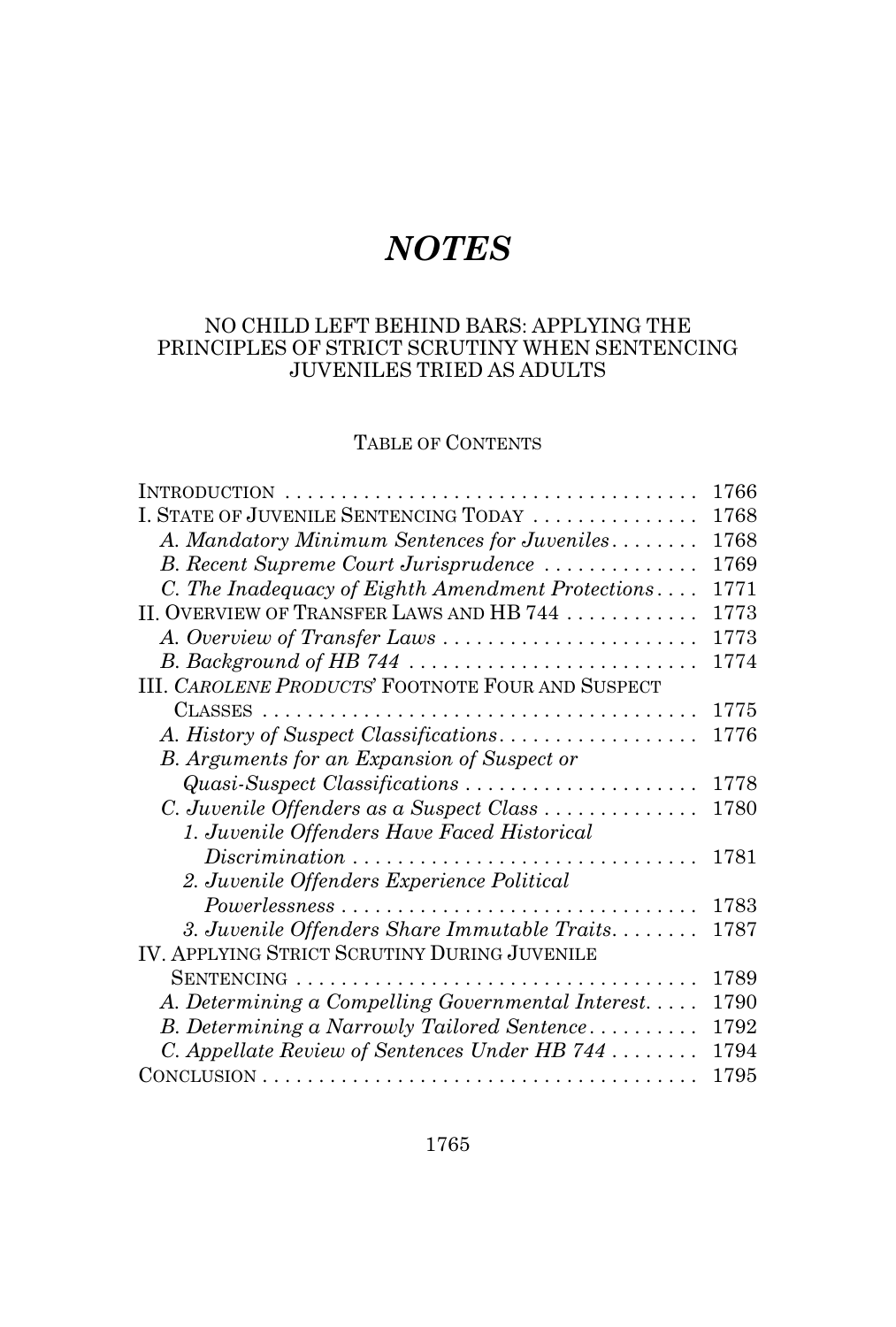## *NOTES*

## NO CHILD LEFT BEHIND BARS: APPLYING THE PRINCIPLES OF STRICT SCRUTINY WHEN SENTENCING JUVENILES TRIED AS ADULTS

## TABLE OF CONTENTS

|                                                                                       | 1766 |
|---------------------------------------------------------------------------------------|------|
| I. STATE OF JUVENILE SENTENCING TODAY                                                 | 1768 |
| A. Mandatory Minimum Sentences for Juveniles                                          | 1768 |
| B. Recent Supreme Court Jurisprudence                                                 | 1769 |
| C. The Inadequacy of Eighth Amendment Protections                                     | 1771 |
| II. OVERVIEW OF TRANSFER LAWS AND HB 744                                              | 1773 |
| A. Overview of Transfer Laws                                                          | 1773 |
|                                                                                       | 1774 |
| III. CAROLENE PRODUCTS' FOOTNOTE FOUR AND SUSPECT                                     |      |
|                                                                                       | 1775 |
| A. History of Suspect Classifications                                                 | 1776 |
| B. Arguments for an Expansion of Suspect or                                           |      |
| Quasi-Suspect Classifications                                                         | 1778 |
| C. Juvenile Offenders as a Suspect Class                                              | 1780 |
| 1. Juvenile Offenders Have Faced Historical                                           |      |
| $Discription \dots \dots \dots \dots \dots \dots \dots \dots \dots \dots \dots \dots$ | 1781 |
| 2. Juvenile Offenders Experience Political                                            |      |
|                                                                                       | 1783 |
| 3. Juvenile Offenders Share Immutable Traits                                          | 1787 |
| <b>IV. APPLYING STRICT SCRUTINY DURING JUVENILE</b>                                   |      |
| SENTENCING                                                                            | 1789 |
| A. Determining a Compelling Governmental Interest                                     | 1790 |
| B. Determining a Narrowly Tailored Sentence                                           | 1792 |
| C. Appellate Review of Sentences Under HB 744 $\dots\dots$                            | 1794 |
|                                                                                       | 1795 |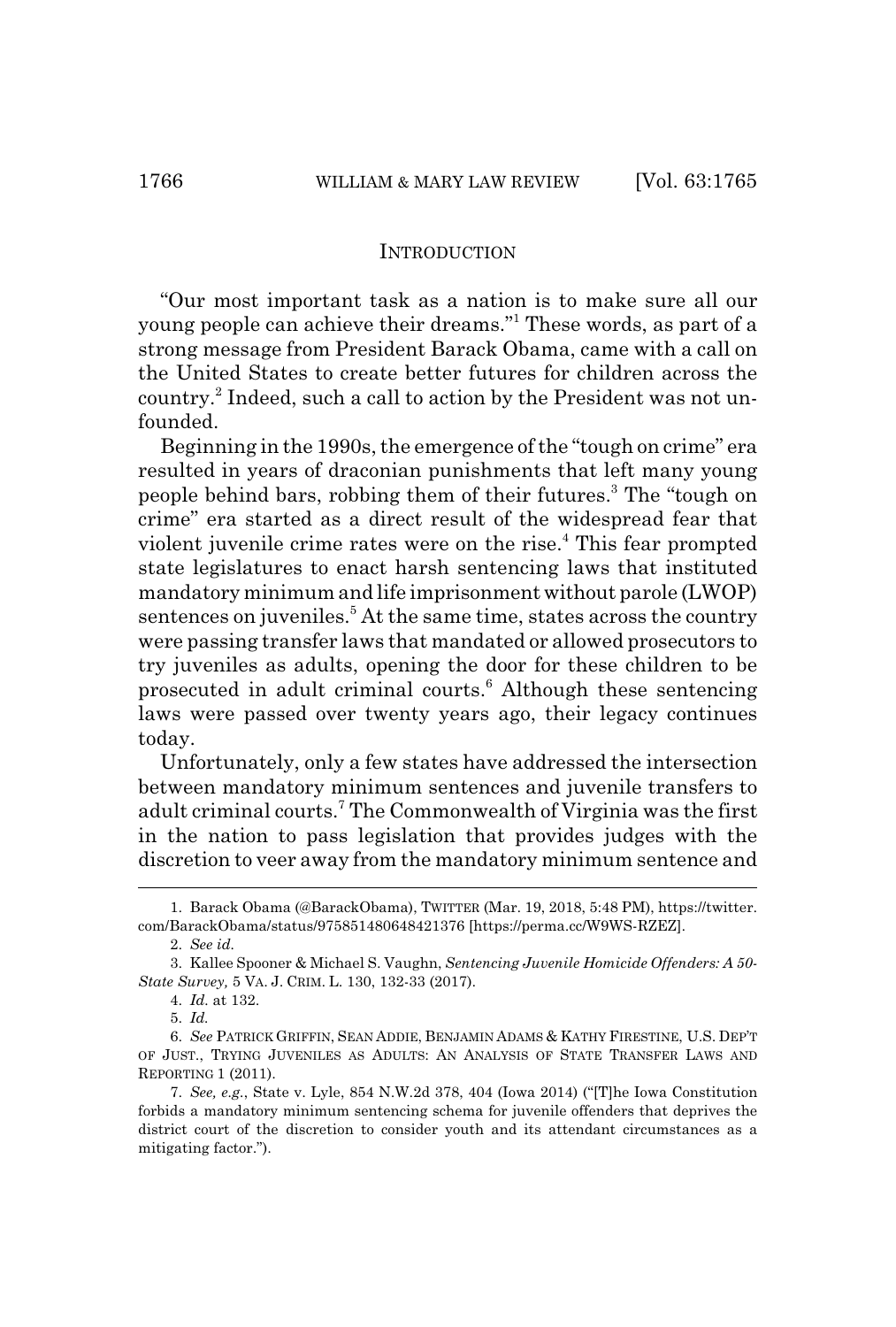#### **INTRODUCTION**

"Our most important task as a nation is to make sure all our young people can achieve their dreams."1 These words, as part of a strong message from President Barack Obama, came with a call on the United States to create better futures for children across the country.<sup>2</sup> Indeed, such a call to action by the President was not unfounded.

Beginning in the 1990s, the emergence of the "tough on crime" era resulted in years of draconian punishments that left many young people behind bars, robbing them of their futures.<sup>3</sup> The "tough on crime" era started as a direct result of the widespread fear that violent juvenile crime rates were on the rise.<sup>4</sup> This fear prompted state legislatures to enact harsh sentencing laws that instituted mandatory minimum and life imprisonment without parole (LWOP) sentences on juveniles.<sup>5</sup> At the same time, states across the country were passing transfer laws that mandated or allowed prosecutors to try juveniles as adults, opening the door for these children to be prosecuted in adult criminal courts.<sup>6</sup> Although these sentencing laws were passed over twenty years ago, their legacy continues today.

Unfortunately, only a few states have addressed the intersection between mandatory minimum sentences and juvenile transfers to adult criminal courts.<sup>7</sup> The Commonwealth of Virginia was the first in the nation to pass legislation that provides judges with the discretion to veer away from the mandatory minimum sentence and

<sup>1.</sup> Barack Obama (@BarackObama), TWITTER (Mar. 19, 2018, 5:48 PM), https://twitter. com/BarackObama/status/975851480648421376 [https://perma.cc/W9WS-RZEZ].

<sup>2.</sup> *See id.*

<sup>3.</sup> Kallee Spooner & Michael S. Vaughn, *Sentencing Juvenile Homicide Offenders: A 50- State Survey,* 5 VA. J. CRIM. L. 130, 132-33 (2017).

<sup>4.</sup> *Id.* at 132.

<sup>5.</sup> *Id.*

<sup>6.</sup> *See* PATRICK GRIFFIN, SEAN ADDIE, BENJAMIN ADAMS & KATHY FIRESTINE, U.S. DEP'T OF JUST., TRYING JUVENILES AS ADULTS: AN ANALYSIS OF STATE TRANSFER LAWS AND REPORTING 1 (2011).

<sup>7.</sup> *See, e.g.*, State v. Lyle, 854 N.W.2d 378, 404 (Iowa 2014) ("[T]he Iowa Constitution forbids a mandatory minimum sentencing schema for juvenile offenders that deprives the district court of the discretion to consider youth and its attendant circumstances as a mitigating factor.").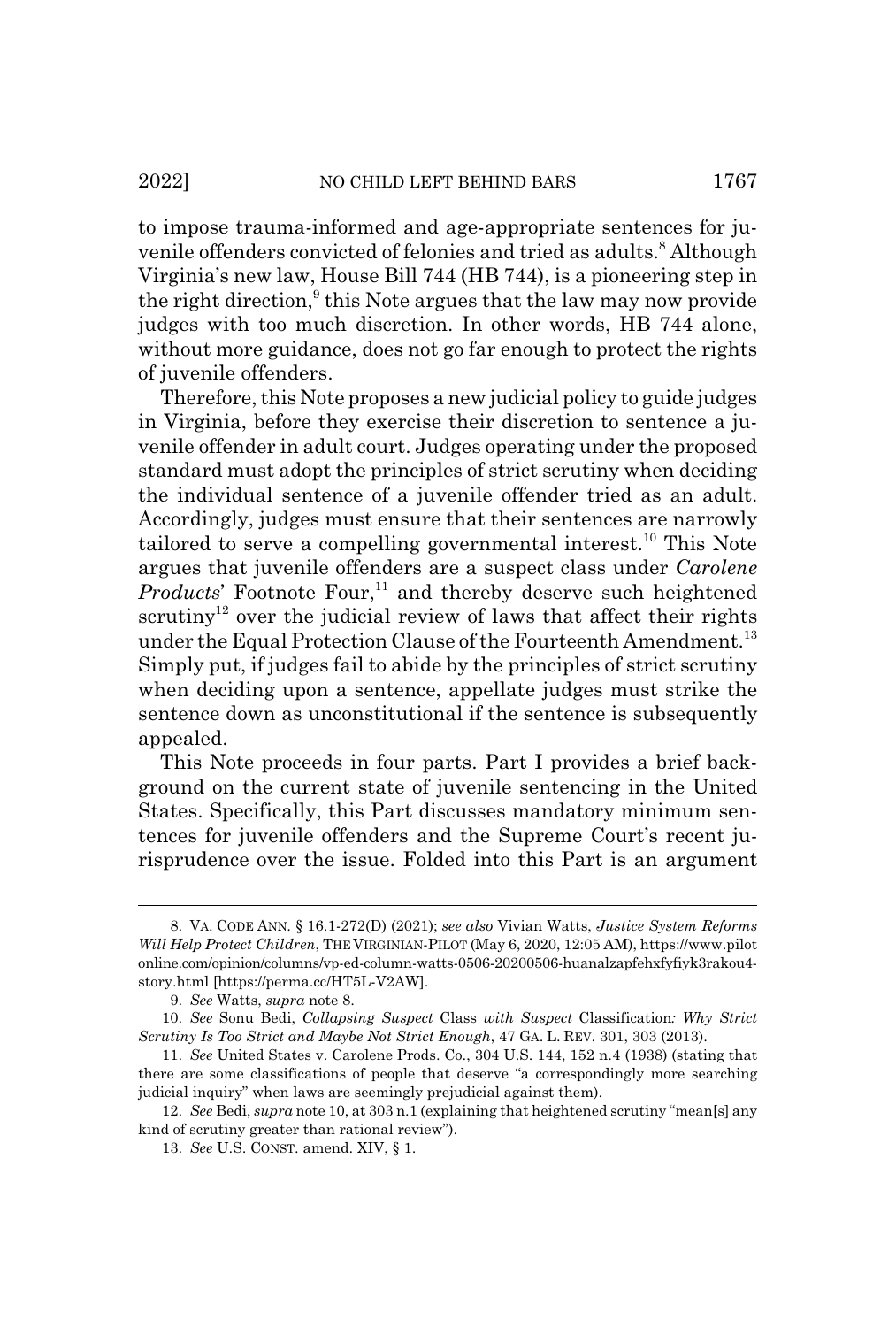to impose trauma-informed and age-appropriate sentences for juvenile offenders convicted of felonies and tried as adults.<sup>8</sup> Although Virginia's new law, House Bill 744 (HB 744), is a pioneering step in the right direction,<sup>9</sup> this Note argues that the law may now provide judges with too much discretion. In other words, HB 744 alone, without more guidance, does not go far enough to protect the rights of juvenile offenders.

Therefore, this Note proposes a new judicial policy to guide judges in Virginia, before they exercise their discretion to sentence a juvenile offender in adult court. Judges operating under the proposed standard must adopt the principles of strict scrutiny when deciding the individual sentence of a juvenile offender tried as an adult. Accordingly, judges must ensure that their sentences are narrowly tailored to serve a compelling governmental interest.<sup>10</sup> This Note argues that juvenile offenders are a suspect class under *Carolene Products*' Footnote Four,<sup>11</sup> and thereby deserve such heightened scrutiny<sup>12</sup> over the judicial review of laws that affect their rights under the Equal Protection Clause of the Fourteenth Amendment.<sup>13</sup> Simply put, if judges fail to abide by the principles of strict scrutiny when deciding upon a sentence, appellate judges must strike the sentence down as unconstitutional if the sentence is subsequently appealed.

This Note proceeds in four parts. Part I provides a brief background on the current state of juvenile sentencing in the United States. Specifically, this Part discusses mandatory minimum sentences for juvenile offenders and the Supreme Court's recent jurisprudence over the issue. Folded into this Part is an argument

<sup>8.</sup> VA. CODE ANN. § 16.1-272(D) (2021); *see also* Vivian Watts, *Justice System Reforms Will Help Protect Children*, THE VIRGINIAN-PILOT (May 6, 2020, 12:05 AM), https://www.pilot online.com/opinion/columns/vp-ed-column-watts-0506-20200506-huanalzapfehxfyfiyk3rakou4 story.html [https://perma.cc/HT5L-V2AW].

<sup>9.</sup> *See* Watts, *supra* note 8.

<sup>10.</sup> *See* Sonu Bedi, *Collapsing Suspect* Class *with Suspect* Classification*: Why Strict Scrutiny Is Too Strict and Maybe Not Strict Enough*, 47 GA. L. REV. 301, 303 (2013).

<sup>11.</sup> *See* United States v. Carolene Prods. Co., 304 U.S. 144, 152 n.4 (1938) (stating that there are some classifications of people that deserve "a correspondingly more searching judicial inquiry" when laws are seemingly prejudicial against them).

<sup>12.</sup> *See* Bedi, *supra* note 10, at 303 n.1 (explaining that heightened scrutiny "mean[s] any kind of scrutiny greater than rational review").

<sup>13.</sup> *See* U.S. CONST. amend. XIV, § 1.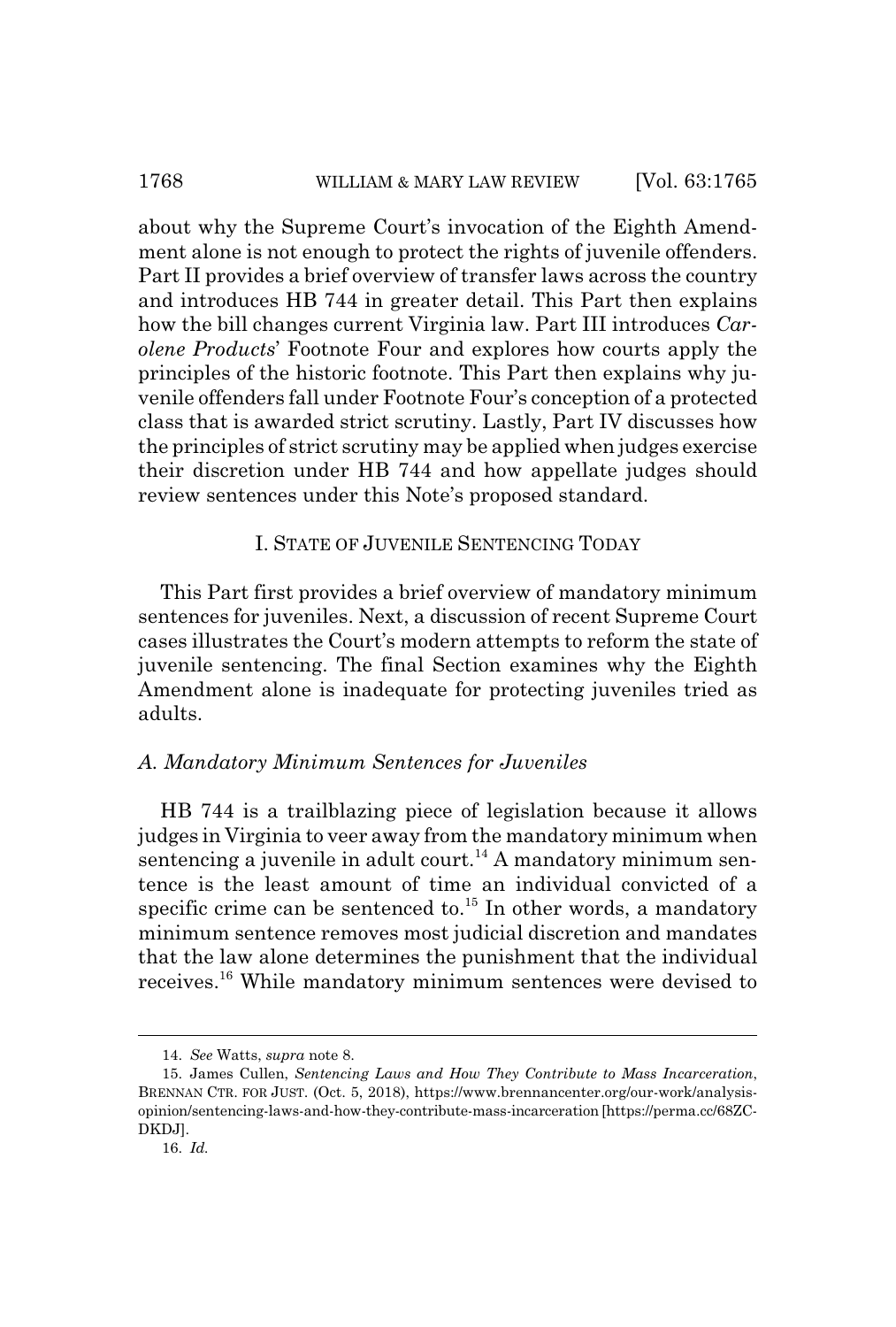## 1768 WILLIAM & MARY LAW REVIEW [Vol. 63:1765]

about why the Supreme Court's invocation of the Eighth Amendment alone is not enough to protect the rights of juvenile offenders. Part II provides a brief overview of transfer laws across the country and introduces HB 744 in greater detail. This Part then explains how the bill changes current Virginia law. Part III introduces *Carolene Products*' Footnote Four and explores how courts apply the principles of the historic footnote. This Part then explains why juvenile offenders fall under Footnote Four's conception of a protected class that is awarded strict scrutiny. Lastly, Part IV discusses how the principles of strict scrutiny may be applied when judges exercise their discretion under HB 744 and how appellate judges should review sentences under this Note's proposed standard.

## I. STATE OF JUVENILE SENTENCING TODAY

This Part first provides a brief overview of mandatory minimum sentences for juveniles. Next, a discussion of recent Supreme Court cases illustrates the Court's modern attempts to reform the state of juvenile sentencing. The final Section examines why the Eighth Amendment alone is inadequate for protecting juveniles tried as adults.

## *A. Mandatory Minimum Sentences for Juveniles*

HB 744 is a trailblazing piece of legislation because it allows judges in Virginia to veer away from the mandatory minimum when sentencing a juvenile in adult court.<sup>14</sup> A mandatory minimum sentence is the least amount of time an individual convicted of a specific crime can be sentenced to. $^{15}$  In other words, a mandatory minimum sentence removes most judicial discretion and mandates that the law alone determines the punishment that the individual receives.16 While mandatory minimum sentences were devised to

<sup>14.</sup> *See* Watts, *supra* note 8.

<sup>15.</sup> James Cullen, *Sentencing Laws and How They Contribute to Mass Incarceration*, BRENNAN CTR. FOR JUST. (Oct. 5, 2018), https://www.brennancenter.org/our-work/analysisopinion/sentencing-laws-and-how-they-contribute-mass-incarceration [https://perma.cc/68ZC-DKDJ].

<sup>16.</sup> *Id.*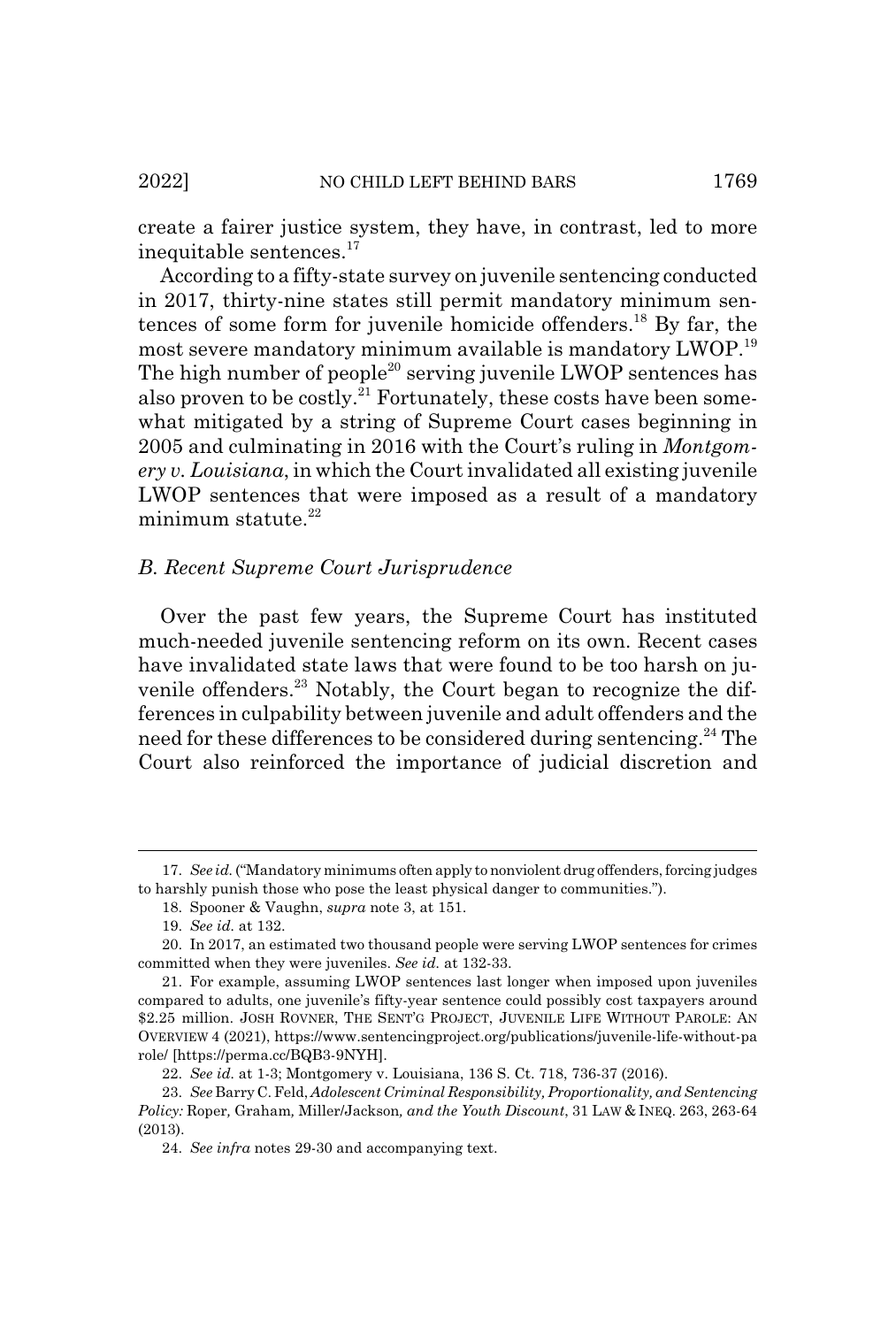create a fairer justice system, they have, in contrast, led to more inequitable sentences.<sup>17</sup>

According to a fifty-state survey on juvenile sentencing conducted in 2017, thirty-nine states still permit mandatory minimum sentences of some form for juvenile homicide offenders.18 By far, the most severe mandatory minimum available is mandatory LWOP.19 The high number of people<sup>20</sup> serving juvenile LWOP sentences has also proven to be costly.<sup>21</sup> Fortunately, these costs have been somewhat mitigated by a string of Supreme Court cases beginning in 2005 and culminating in 2016 with the Court's ruling in *Montgomery v. Louisiana*, in which the Court invalidated all existing juvenile LWOP sentences that were imposed as a result of a mandatory minimum statute.<sup>22</sup>

### *B. Recent Supreme Court Jurisprudence*

Over the past few years, the Supreme Court has instituted much-needed juvenile sentencing reform on its own. Recent cases have invalidated state laws that were found to be too harsh on juvenile offenders.<sup>23</sup> Notably, the Court began to recognize the differences in culpability between juvenile and adult offenders and the need for these differences to be considered during sentencing.<sup>24</sup> The Court also reinforced the importance of judicial discretion and

<sup>17.</sup> *See id.* ("Mandatory minimums often apply to nonviolent drug offenders, forcing judges to harshly punish those who pose the least physical danger to communities.").

<sup>18.</sup> Spooner & Vaughn, *supra* note 3, at 151.

<sup>19.</sup> *See id.* at 132.

<sup>20.</sup> In 2017, an estimated two thousand people were serving LWOP sentences for crimes committed when they were juveniles. *See id.* at 132-33.

<sup>21.</sup> For example, assuming LWOP sentences last longer when imposed upon juveniles compared to adults, one juvenile's fifty-year sentence could possibly cost taxpayers around \$2.25 million. JOSH ROVNER, THE SENT'G PROJECT, JUVENILE LIFE WITHOUT PAROLE: AN OVERVIEW 4 (2021), https://www.sentencingproject.org/publications/juvenile-life-without-pa role/ [https://perma.cc/BQB3-9NYH].

<sup>22.</sup> *See id.* at 1-3; Montgomery v. Louisiana, 136 S. Ct. 718, 736-37 (2016).

<sup>23.</sup> *See* Barry C. Feld, *Adolescent Criminal Responsibility, Proportionality, and Sentencing Policy:* Roper*,* Graham*,* Miller/Jackson*, and the Youth Discount*, 31 LAW & INEQ. 263, 263-64 (2013).

<sup>24.</sup> *See infra* notes 29-30 and accompanying text.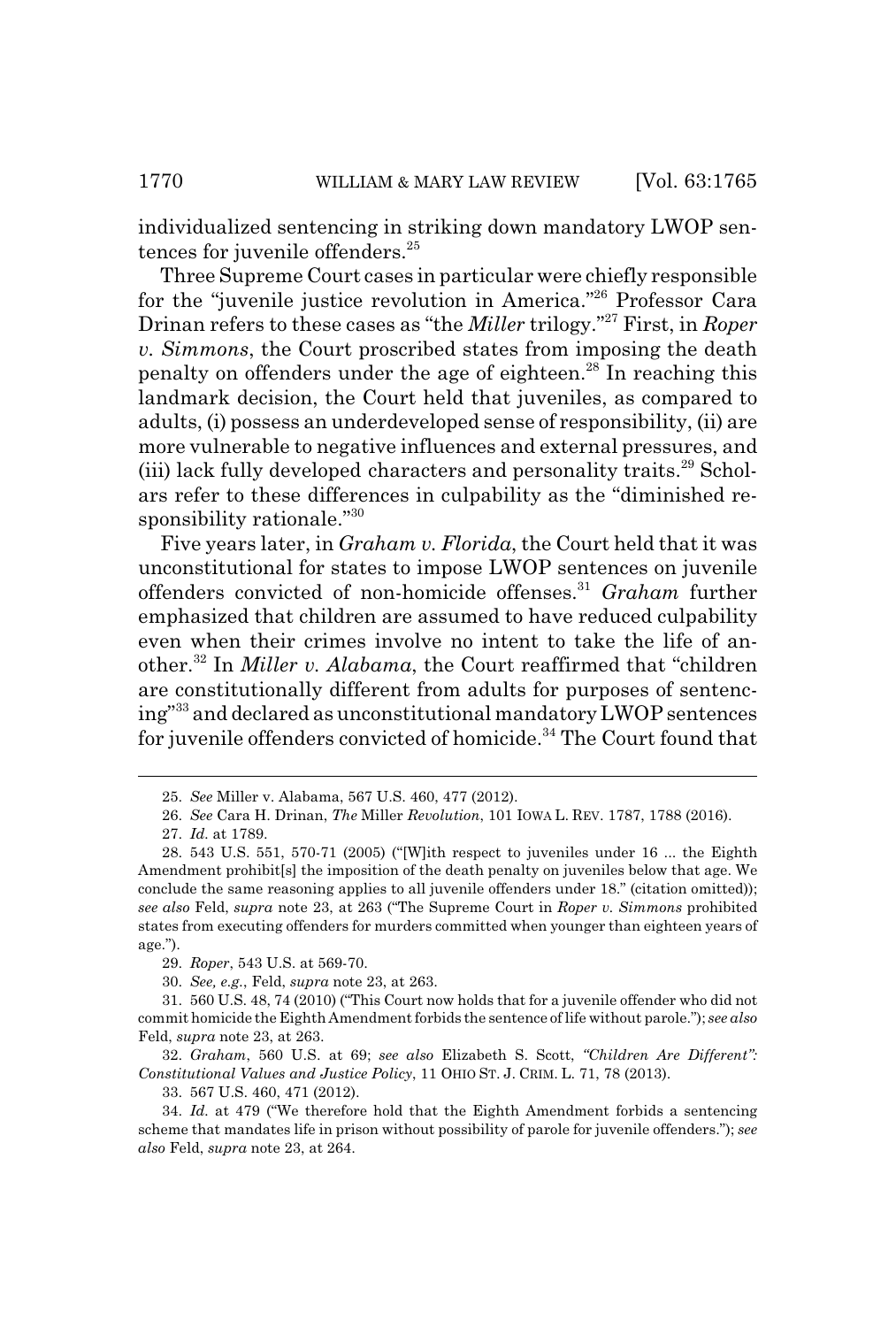individualized sentencing in striking down mandatory LWOP sentences for juvenile offenders.<sup>25</sup>

Three Supreme Court cases in particular were chiefly responsible for the "juvenile justice revolution in America."26 Professor Cara Drinan refers to these cases as "the *Miller* trilogy."27 First, in *Roper v. Simmons*, the Court proscribed states from imposing the death penalty on offenders under the age of eighteen.<sup>28</sup> In reaching this landmark decision, the Court held that juveniles, as compared to adults, (i) possess an underdeveloped sense of responsibility, (ii) are more vulnerable to negative influences and external pressures, and (iii) lack fully developed characters and personality traits.<sup>29</sup> Scholars refer to these differences in culpability as the "diminished responsibility rationale."30

Five years later, in *Graham v. Florida*, the Court held that it was unconstitutional for states to impose LWOP sentences on juvenile offenders convicted of non-homicide offenses.31 *Graham* further emphasized that children are assumed to have reduced culpability even when their crimes involve no intent to take the life of another.32 In *Miller v. Alabama*, the Court reaffirmed that "children are constitutionally different from adults for purposes of sentencing"33 and declared as unconstitutional mandatory LWOP sentences for juvenile offenders convicted of homicide.<sup>34</sup> The Court found that

32. *Graham*, 560 U.S. at 69; *see also* Elizabeth S. Scott, *"Children Are Different": Constitutional Values and Justice Policy*, 11 OHIO ST. J. CRIM. L. 71, 78 (2013).

33. 567 U.S. 460, 471 (2012).

<sup>25.</sup> *See* Miller v. Alabama, 567 U.S. 460, 477 (2012).

<sup>26.</sup> *See* Cara H. Drinan, *The* Miller *Revolution*, 101 IOWA L. REV. 1787, 1788 (2016).

<sup>27.</sup> *Id.* at 1789.

<sup>28. 543</sup> U.S. 551, 570-71 (2005) ("[W]ith respect to juveniles under 16 ... the Eighth Amendment prohibit[s] the imposition of the death penalty on juveniles below that age. We conclude the same reasoning applies to all juvenile offenders under 18." (citation omitted)); *see also* Feld, *supra* note 23, at 263 ("The Supreme Court in *Roper v. Simmons* prohibited states from executing offenders for murders committed when younger than eighteen years of age.").

<sup>29.</sup> *Roper*, 543 U.S. at 569-70.

<sup>30.</sup> *See, e.g.*, Feld, *supra* note 23, at 263.

<sup>31. 560</sup> U.S. 48, 74 (2010) ("This Court now holds that for a juvenile offender who did not commit homicide the Eighth Amendment forbids the sentence of life without parole."); *see also* Feld, *supra* note 23, at 263.

<sup>34.</sup> *Id.* at 479 ("We therefore hold that the Eighth Amendment forbids a sentencing scheme that mandates life in prison without possibility of parole for juvenile offenders."); *see also* Feld, *supra* note 23, at 264.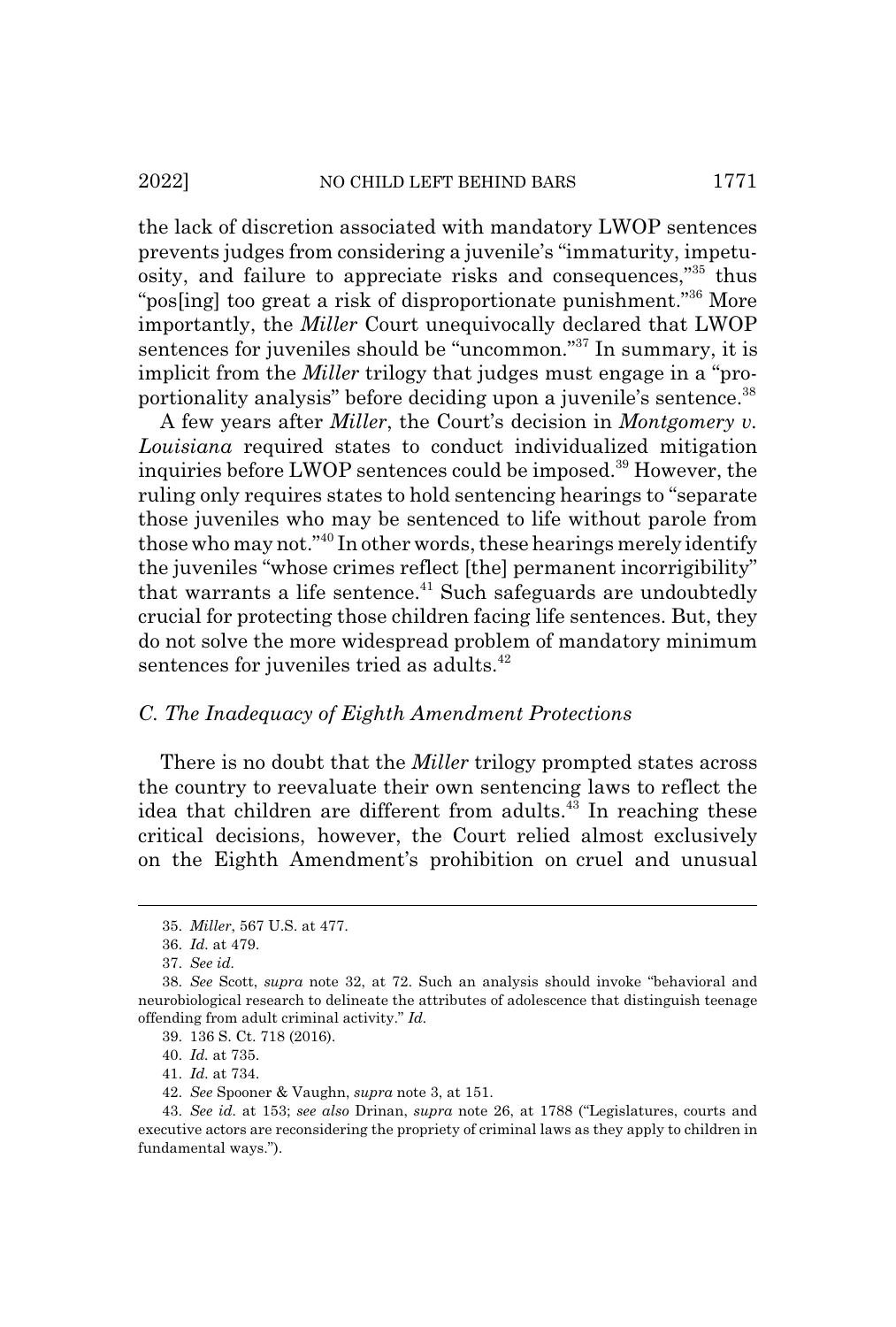#### 2022] NO CHILD LEFT BEHIND BARS 1771

the lack of discretion associated with mandatory LWOP sentences prevents judges from considering a juvenile's "immaturity, impetuosity, and failure to appreciate risks and consequences,"35 thus "pos[ing] too great a risk of disproportionate punishment."<sup>36</sup> More importantly, the *Miller* Court unequivocally declared that LWOP sentences for juveniles should be "uncommon."<sup>37</sup> In summary, it is implicit from the *Miller* trilogy that judges must engage in a "proportionality analysis" before deciding upon a juvenile's sentence.<sup>38</sup>

A few years after *Miller*, the Court's decision in *Montgomery v. Louisiana* required states to conduct individualized mitigation inquiries before LWOP sentences could be imposed.<sup>39</sup> However, the ruling only requires states to hold sentencing hearings to "separate those juveniles who may be sentenced to life without parole from those who may not."40 In other words, these hearings merely identify the juveniles "whose crimes reflect [the] permanent incorrigibility" that warrants a life sentence. $41$  Such safeguards are undoubtedly crucial for protecting those children facing life sentences. But, they do not solve the more widespread problem of mandatory minimum sentences for juveniles tried as adults.<sup>42</sup>

## *C. The Inadequacy of Eighth Amendment Protections*

There is no doubt that the *Miller* trilogy prompted states across the country to reevaluate their own sentencing laws to reflect the idea that children are different from adults.<sup>43</sup> In reaching these critical decisions, however, the Court relied almost exclusively on the Eighth Amendment's prohibition on cruel and unusual

<sup>35.</sup> *Miller*, 567 U.S. at 477.

<sup>36.</sup> *Id.* at 479.

<sup>37.</sup> *See id.*

<sup>38.</sup> *See* Scott, *supra* note 32, at 72. Such an analysis should invoke "behavioral and neurobiological research to delineate the attributes of adolescence that distinguish teenage offending from adult criminal activity." *Id.*

<sup>39. 136</sup> S. Ct. 718 (2016).

<sup>40.</sup> *Id.* at 735.

<sup>41.</sup> *Id.* at 734.

<sup>42.</sup> *See* Spooner & Vaughn, *supra* note 3, at 151.

<sup>43.</sup> *See id.* at 153; *see also* Drinan, *supra* note 26, at 1788 ("Legislatures, courts and executive actors are reconsidering the propriety of criminal laws as they apply to children in fundamental ways.").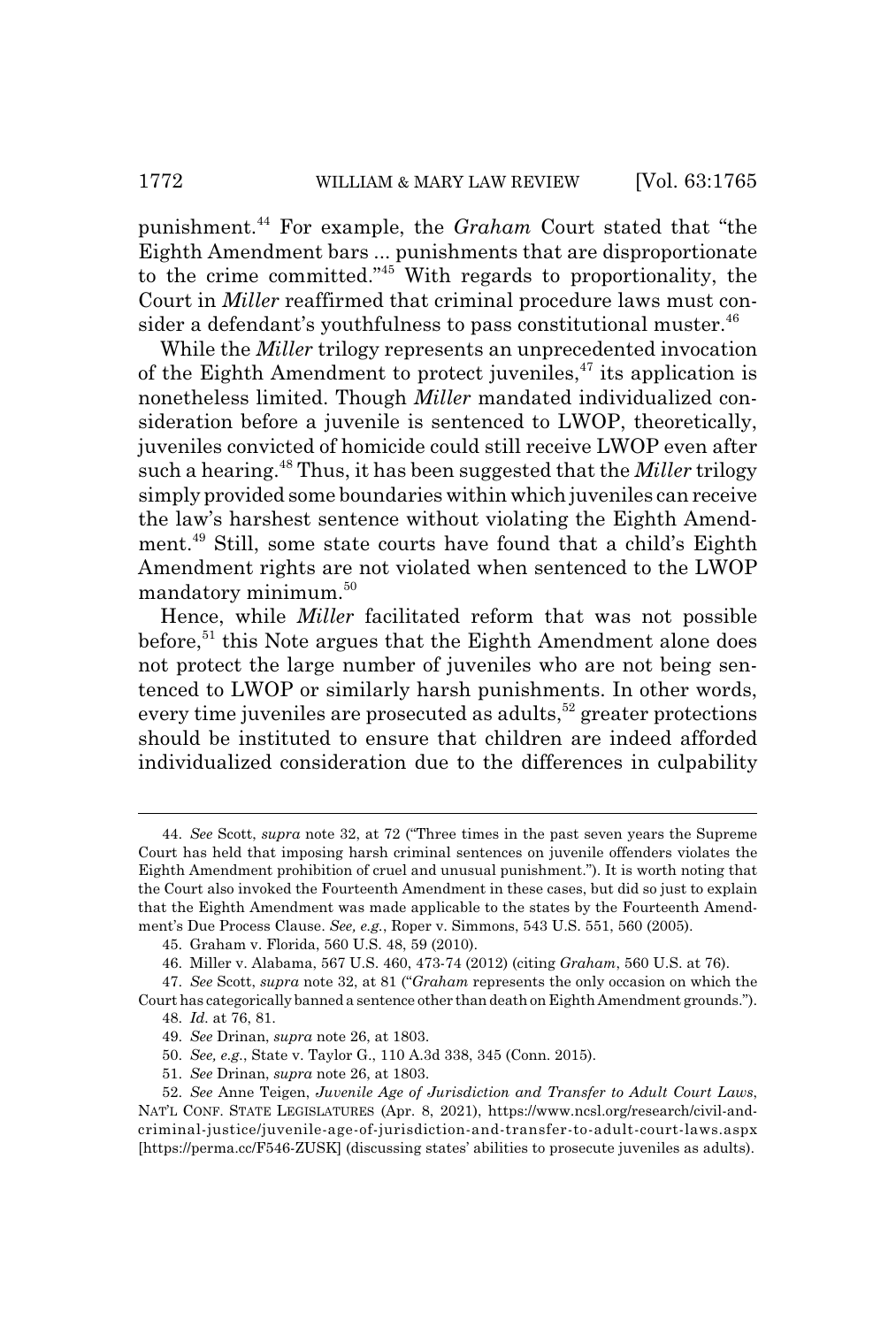punishment.44 For example, the *Graham* Court stated that "the Eighth Amendment bars ... punishments that are disproportionate to the crime committed."45 With regards to proportionality, the Court in *Miller* reaffirmed that criminal procedure laws must consider a defendant's youthfulness to pass constitutional muster.<sup>46</sup>

While the *Miller* trilogy represents an unprecedented invocation of the Eighth Amendment to protect juveniles,  $47$  its application is nonetheless limited. Though *Miller* mandated individualized consideration before a juvenile is sentenced to LWOP, theoretically, juveniles convicted of homicide could still receive LWOP even after such a hearing.48 Thus, it has been suggested that the *Miller* trilogy simply provided some boundaries within which juveniles can receive the law's harshest sentence without violating the Eighth Amendment.49 Still, some state courts have found that a child's Eighth Amendment rights are not violated when sentenced to the LWOP mandatory minimum.<sup>50</sup>

Hence, while *Miller* facilitated reform that was not possible before, $51$  this Note argues that the Eighth Amendment alone does not protect the large number of juveniles who are not being sentenced to LWOP or similarly harsh punishments. In other words, every time juveniles are prosecuted as adults, $52$  greater protections should be instituted to ensure that children are indeed afforded individualized consideration due to the differences in culpability

<sup>44.</sup> *See* Scott, *supra* note 32, at 72 ("Three times in the past seven years the Supreme Court has held that imposing harsh criminal sentences on juvenile offenders violates the Eighth Amendment prohibition of cruel and unusual punishment."). It is worth noting that the Court also invoked the Fourteenth Amendment in these cases, but did so just to explain that the Eighth Amendment was made applicable to the states by the Fourteenth Amendment's Due Process Clause. *See, e.g.*, Roper v. Simmons, 543 U.S. 551, 560 (2005).

<sup>45.</sup> Graham v. Florida, 560 U.S. 48, 59 (2010).

<sup>46.</sup> Miller v. Alabama, 567 U.S. 460, 473-74 (2012) (citing *Graham*, 560 U.S. at 76).

<sup>47.</sup> *See* Scott, *supra* note 32, at 81 ("*Graham* represents the only occasion on which the Court has categorically banned a sentence other than death on Eighth Amendment grounds.").

<sup>48.</sup> *Id.* at 76, 81.

<sup>49.</sup> *See* Drinan, *supra* note 26, at 1803.

<sup>50.</sup> *See, e.g.*, State v. Taylor G., 110 A.3d 338, 345 (Conn. 2015).

<sup>51.</sup> *See* Drinan, *supra* note 26, at 1803.

<sup>52.</sup> *See* Anne Teigen, *Juvenile Age of Jurisdiction and Transfer to Adult Court Laws*, NAT'L CONF. STATE LEGISLATURES (Apr. 8, 2021), https://www.ncsl.org/research/civil-andcriminal-justice/juvenile-age-of-jurisdiction-and-transfer-to-adult-court-laws.aspx [https://perma.cc/F546-ZUSK] (discussing states' abilities to prosecute juveniles as adults).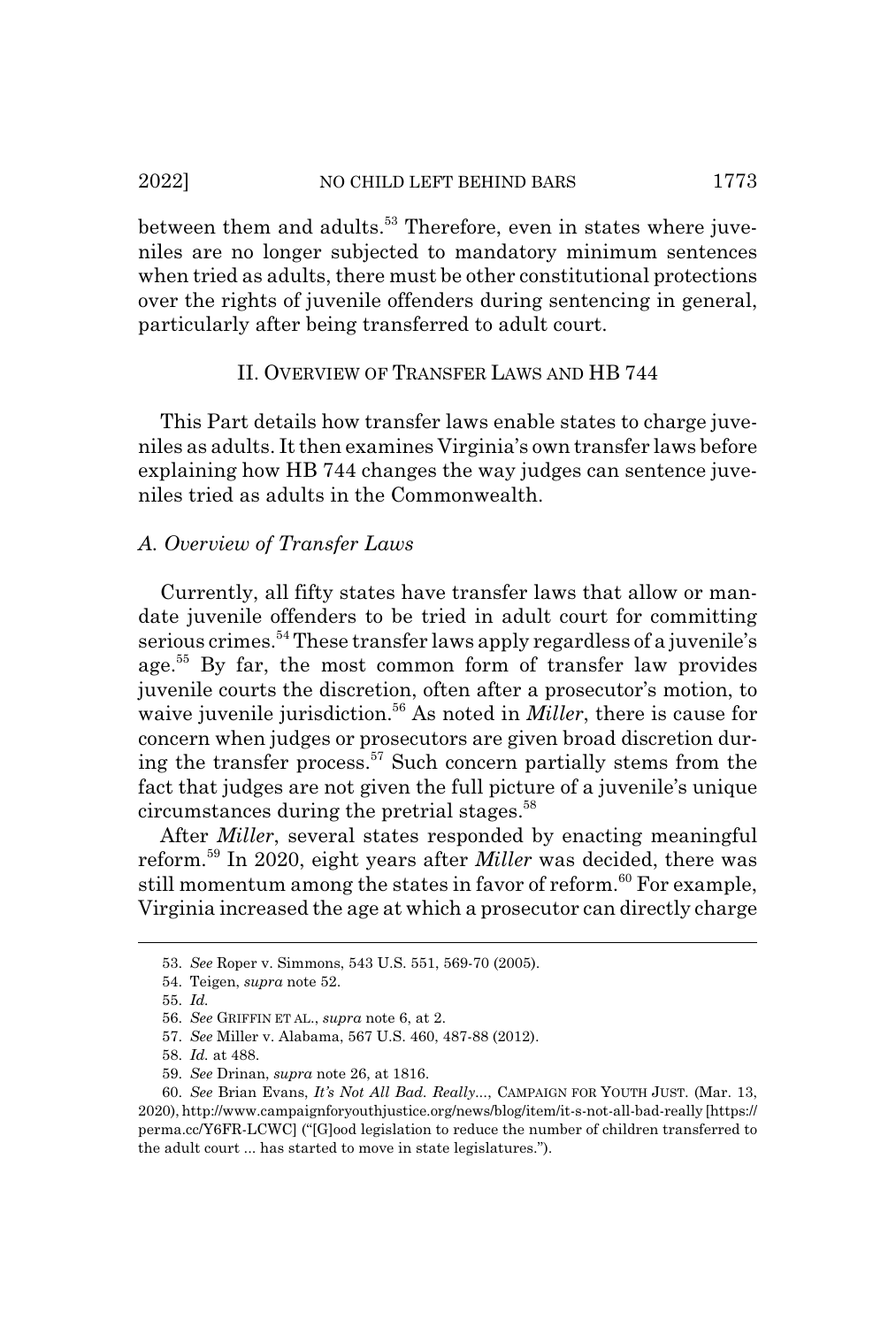between them and adults.<sup>53</sup> Therefore, even in states where juveniles are no longer subjected to mandatory minimum sentences when tried as adults, there must be other constitutional protections over the rights of juvenile offenders during sentencing in general, particularly after being transferred to adult court.

### II. OVERVIEW OF TRANSFER LAWS AND HB 744

This Part details how transfer laws enable states to charge juveniles as adults. It then examines Virginia's own transfer laws before explaining how HB 744 changes the way judges can sentence juveniles tried as adults in the Commonwealth.

## *A. Overview of Transfer Laws*

Currently, all fifty states have transfer laws that allow or mandate juvenile offenders to be tried in adult court for committing serious crimes.<sup>54</sup> These transfer laws apply regardless of a juvenile's age.<sup>55</sup> By far, the most common form of transfer law provides juvenile courts the discretion, often after a prosecutor's motion, to waive juvenile jurisdiction.<sup>56</sup> As noted in *Miller*, there is cause for concern when judges or prosecutors are given broad discretion during the transfer process.57 Such concern partially stems from the fact that judges are not given the full picture of a juvenile's unique circumstances during the pretrial stages.<sup>58</sup>

After *Miller*, several states responded by enacting meaningful reform.59 In 2020, eight years after *Miller* was decided, there was still momentum among the states in favor of reform.<sup>60</sup> For example, Virginia increased the age at which a prosecutor can directly charge

<sup>53.</sup> *See* Roper v. Simmons, 543 U.S. 551, 569-70 (2005).

<sup>54.</sup> Teigen, *supra* note 52.

<sup>55.</sup> *Id.*

<sup>56.</sup> *See* GRIFFIN ET AL., *supra* note 6, at 2.

<sup>57.</sup> *See* Miller v. Alabama, 567 U.S. 460, 487-88 (2012).

<sup>58.</sup> *Id.* at 488.

<sup>59.</sup> *See* Drinan, *supra* note 26, at 1816.

<sup>60.</sup> *See* Brian Evans, *It's Not All Bad. Really...*, CAMPAIGN FOR YOUTH JUST. (Mar. 13, 2020), http://www.campaignforyouthjustice.org/news/blog/item/it-s-not-all-bad-really [https:// perma.cc/Y6FR-LCWC] ("[G]ood legislation to reduce the number of children transferred to the adult court ... has started to move in state legislatures.").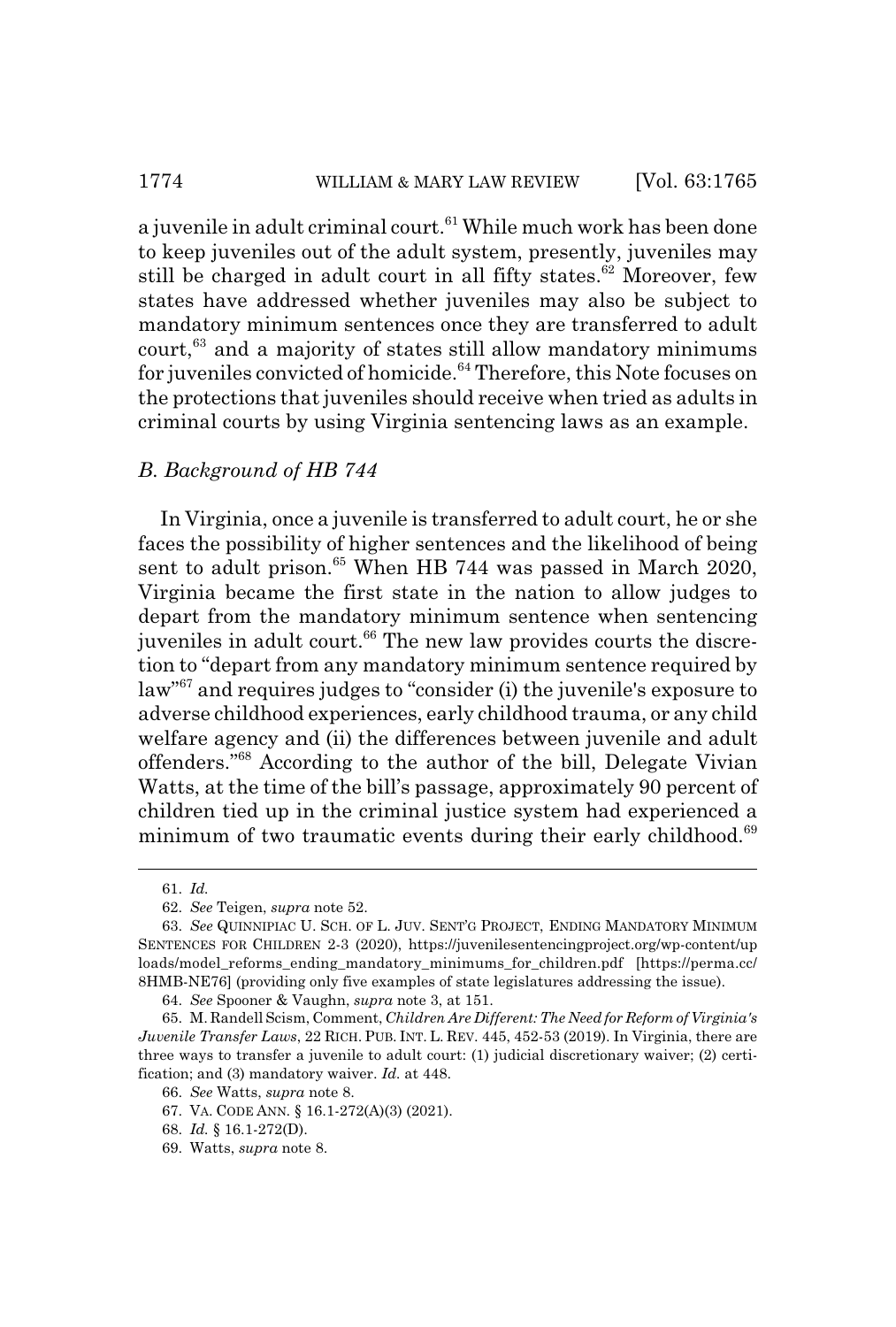## 1774 WILLIAM & MARY LAW REVIEW [Vol. 63:1765]

a juvenile in adult criminal court.<sup>61</sup> While much work has been done to keep juveniles out of the adult system, presently, juveniles may still be charged in adult court in all fifty states.<sup>62</sup> Moreover, few states have addressed whether juveniles may also be subject to mandatory minimum sentences once they are transferred to adult  $court<sub>63</sub>$  and a majority of states still allow mandatory minimums for juveniles convicted of homicide.<sup>64</sup> Therefore, this Note focuses on the protections that juveniles should receive when tried as adults in criminal courts by using Virginia sentencing laws as an example.

#### *B. Background of HB 744*

In Virginia, once a juvenile is transferred to adult court, he or she faces the possibility of higher sentences and the likelihood of being sent to adult prison.<sup>65</sup> When HB 744 was passed in March 2020, Virginia became the first state in the nation to allow judges to depart from the mandatory minimum sentence when sentencing juveniles in adult court.<sup>66</sup> The new law provides courts the discretion to "depart from any mandatory minimum sentence required by law"67 and requires judges to "consider (i) the juvenile's exposure to adverse childhood experiences, early childhood trauma, or any child welfare agency and (ii) the differences between juvenile and adult offenders."68 According to the author of the bill, Delegate Vivian Watts, at the time of the bill's passage, approximately 90 percent of children tied up in the criminal justice system had experienced a minimum of two traumatic events during their early childhood.<sup>69</sup>

<sup>61.</sup> *Id.*

<sup>62.</sup> *See* Teigen, *supra* note 52.

<sup>63.</sup> *See* QUINNIPIAC U. SCH. OF L. JUV. SENT'G PROJECT, ENDING MANDATORY MINIMUM SENTENCES FOR CHILDREN 2-3 (2020), https://juvenilesentencingproject.org/wp-content/up loads/model\_reforms\_ending\_mandatory\_minimums\_for\_children.pdf [https://perma.cc/ 8HMB-NE76] (providing only five examples of state legislatures addressing the issue).

<sup>64.</sup> *See* Spooner & Vaughn, *supra* note 3, at 151.

<sup>65.</sup> M. Randell Scism, Comment, *Children Are Different: The Need for Reform of Virginia's Juvenile Transfer Laws*, 22 RICH. PUB. INT. L. REV. 445, 452-53 (2019). In Virginia, there are three ways to transfer a juvenile to adult court: (1) judicial discretionary waiver; (2) certification; and (3) mandatory waiver. *Id.* at 448.

<sup>66.</sup> *See* Watts, *supra* note 8.

<sup>67.</sup> VA. CODE ANN. § 16.1-272(A)(3) (2021).

<sup>68.</sup> *Id.* § 16.1-272(D).

<sup>69.</sup> Watts, *supra* note 8.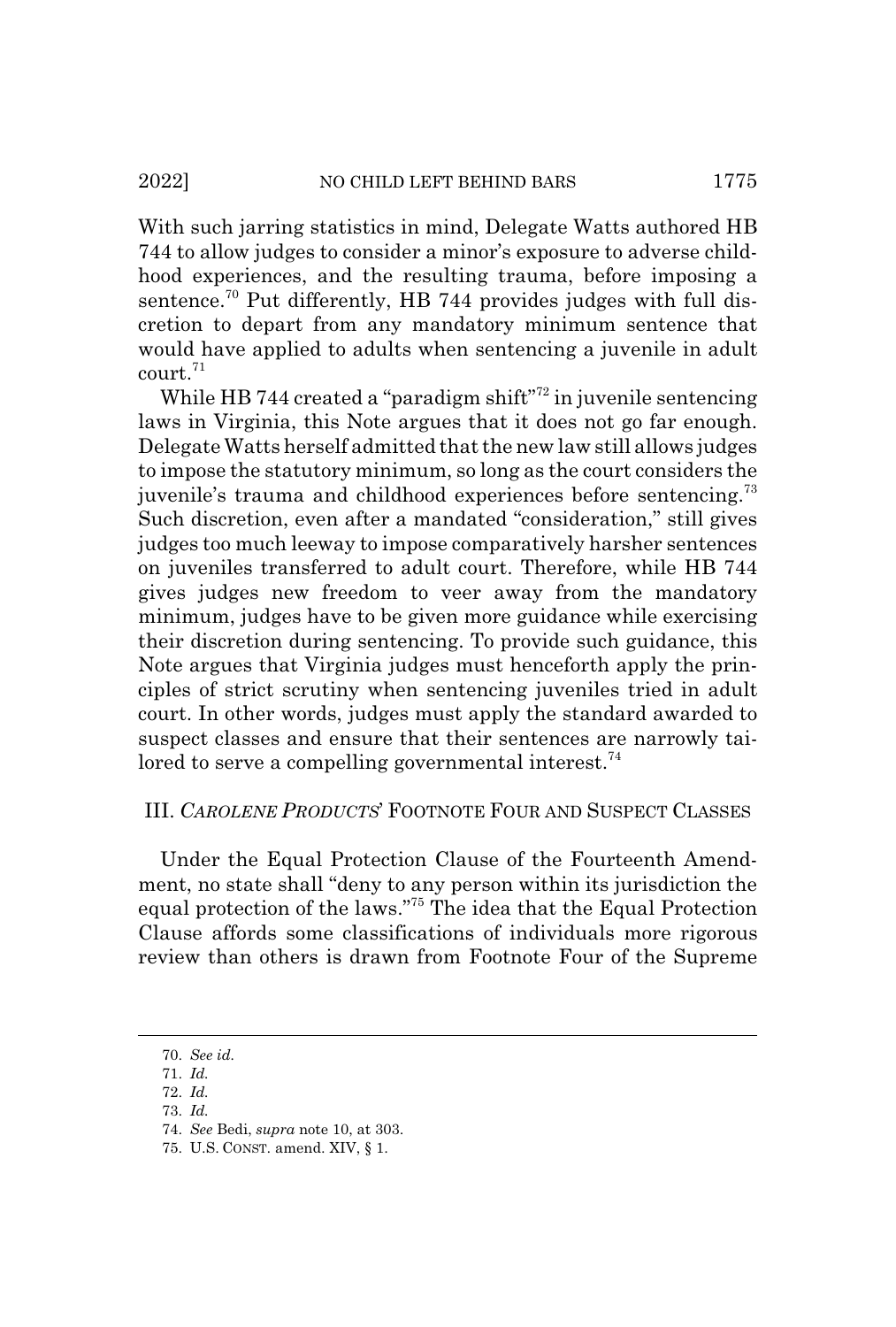With such jarring statistics in mind, Delegate Watts authored HB 744 to allow judges to consider a minor's exposure to adverse childhood experiences, and the resulting trauma, before imposing a sentence.<sup>70</sup> Put differently, HB 744 provides judges with full discretion to depart from any mandatory minimum sentence that would have applied to adults when sentencing a juvenile in adult court.<sup>71</sup>

While HB 744 created a "paradigm shift"<sup>72</sup> in juvenile sentencing laws in Virginia, this Note argues that it does not go far enough. Delegate Watts herself admitted that the new law still allows judges to impose the statutory minimum, so long as the court considers the juvenile's trauma and childhood experiences before sentencing.<sup>73</sup> Such discretion, even after a mandated "consideration," still gives judges too much leeway to impose comparatively harsher sentences on juveniles transferred to adult court. Therefore, while HB 744 gives judges new freedom to veer away from the mandatory minimum, judges have to be given more guidance while exercising their discretion during sentencing. To provide such guidance, this Note argues that Virginia judges must henceforth apply the principles of strict scrutiny when sentencing juveniles tried in adult court. In other words, judges must apply the standard awarded to suspect classes and ensure that their sentences are narrowly tailored to serve a compelling governmental interest.<sup>74</sup>

## III. *CAROLENE PRODUCTS*' FOOTNOTE FOUR AND SUSPECT CLASSES

Under the Equal Protection Clause of the Fourteenth Amendment, no state shall "deny to any person within its jurisdiction the equal protection of the laws."75 The idea that the Equal Protection Clause affords some classifications of individuals more rigorous review than others is drawn from Footnote Four of the Supreme

<sup>70.</sup> *See id.*

<sup>71.</sup> *Id.*

<sup>72.</sup> *Id.*

<sup>73.</sup> *Id.*

<sup>74.</sup> *See* Bedi, *supra* note 10, at 303.

<sup>75.</sup> U.S. CONST. amend. XIV, § 1.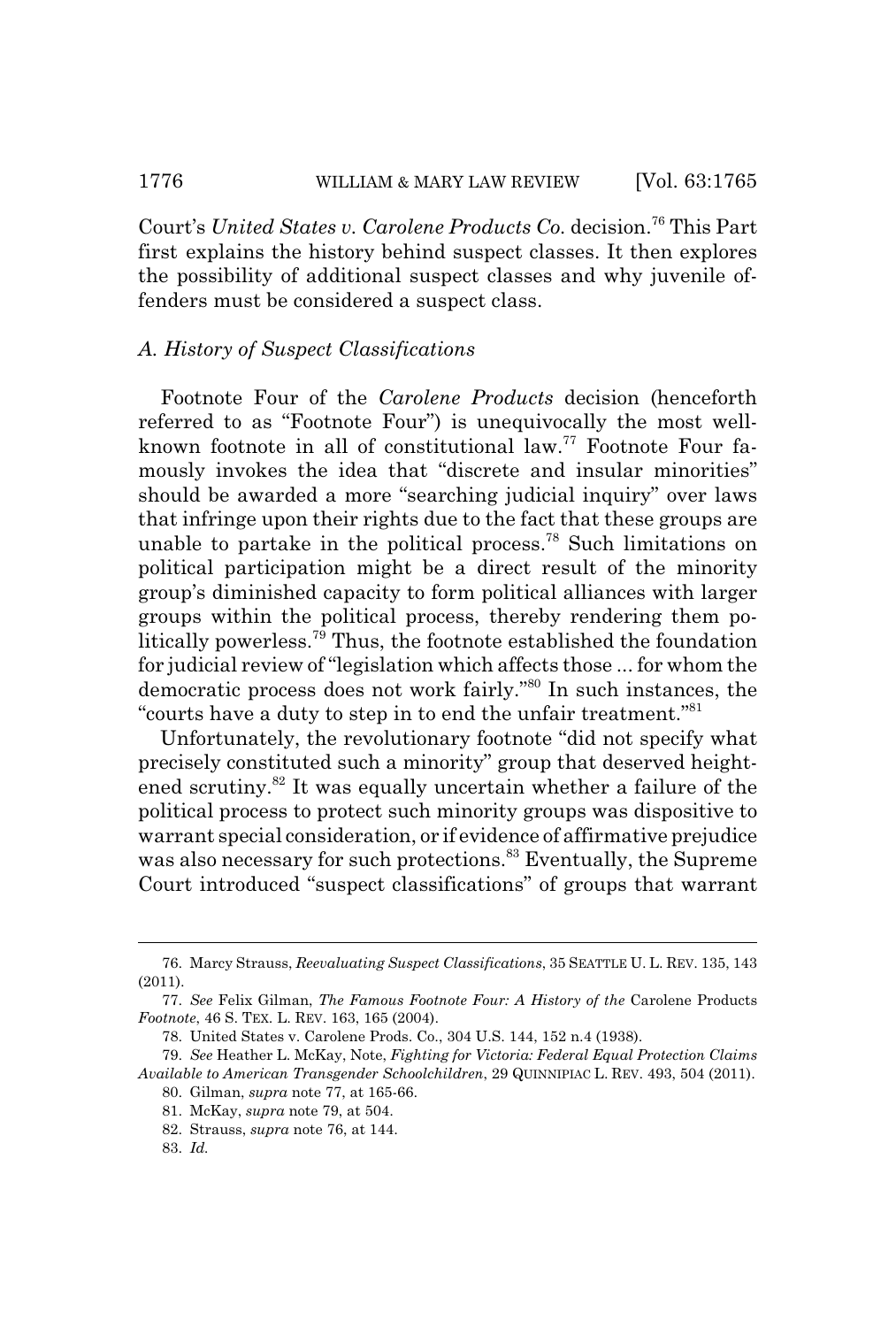Court's *United States v. Carolene Products Co.* decision.<sup>76</sup> This Part first explains the history behind suspect classes. It then explores the possibility of additional suspect classes and why juvenile offenders must be considered a suspect class.

## *A. History of Suspect Classifications*

Footnote Four of the *Carolene Products* decision (henceforth referred to as "Footnote Four") is unequivocally the most wellknown footnote in all of constitutional law.<sup>77</sup> Footnote Four famously invokes the idea that "discrete and insular minorities" should be awarded a more "searching judicial inquiry" over laws that infringe upon their rights due to the fact that these groups are unable to partake in the political process.78 Such limitations on political participation might be a direct result of the minority group's diminished capacity to form political alliances with larger groups within the political process, thereby rendering them politically powerless.79 Thus, the footnote established the foundation for judicial review of "legislation which affects those ... for whom the democratic process does not work fairly."80 In such instances, the "courts have a duty to step in to end the unfair treatment."<sup>81</sup>

Unfortunately, the revolutionary footnote "did not specify what precisely constituted such a minority" group that deserved heightened scrutiny.<sup>82</sup> It was equally uncertain whether a failure of the political process to protect such minority groups was dispositive to warrant special consideration, or if evidence of affirmative prejudice was also necessary for such protections.<sup>83</sup> Eventually, the Supreme Court introduced "suspect classifications" of groups that warrant

<sup>76.</sup> Marcy Strauss, *Reevaluating Suspect Classifications*, 35 SEATTLE U. L. REV. 135, 143 (2011).

<sup>77.</sup> *See* Felix Gilman, *The Famous Footnote Four: A History of the* Carolene Products *Footnote*, 46 S. TEX. L. REV. 163, 165 (2004).

<sup>78.</sup> United States v. Carolene Prods. Co., 304 U.S. 144, 152 n.4 (1938).

<sup>79.</sup> *See* Heather L. McKay, Note, *Fighting for Victoria: Federal Equal Protection Claims Available to American Transgender Schoolchildren*, 29 QUINNIPIAC L. REV. 493, 504 (2011).

<sup>80.</sup> Gilman, *supra* note 77, at 165-66.

<sup>81.</sup> McKay, *supra* note 79, at 504.

<sup>82.</sup> Strauss, *supra* note 76, at 144.

<sup>83.</sup> *Id.*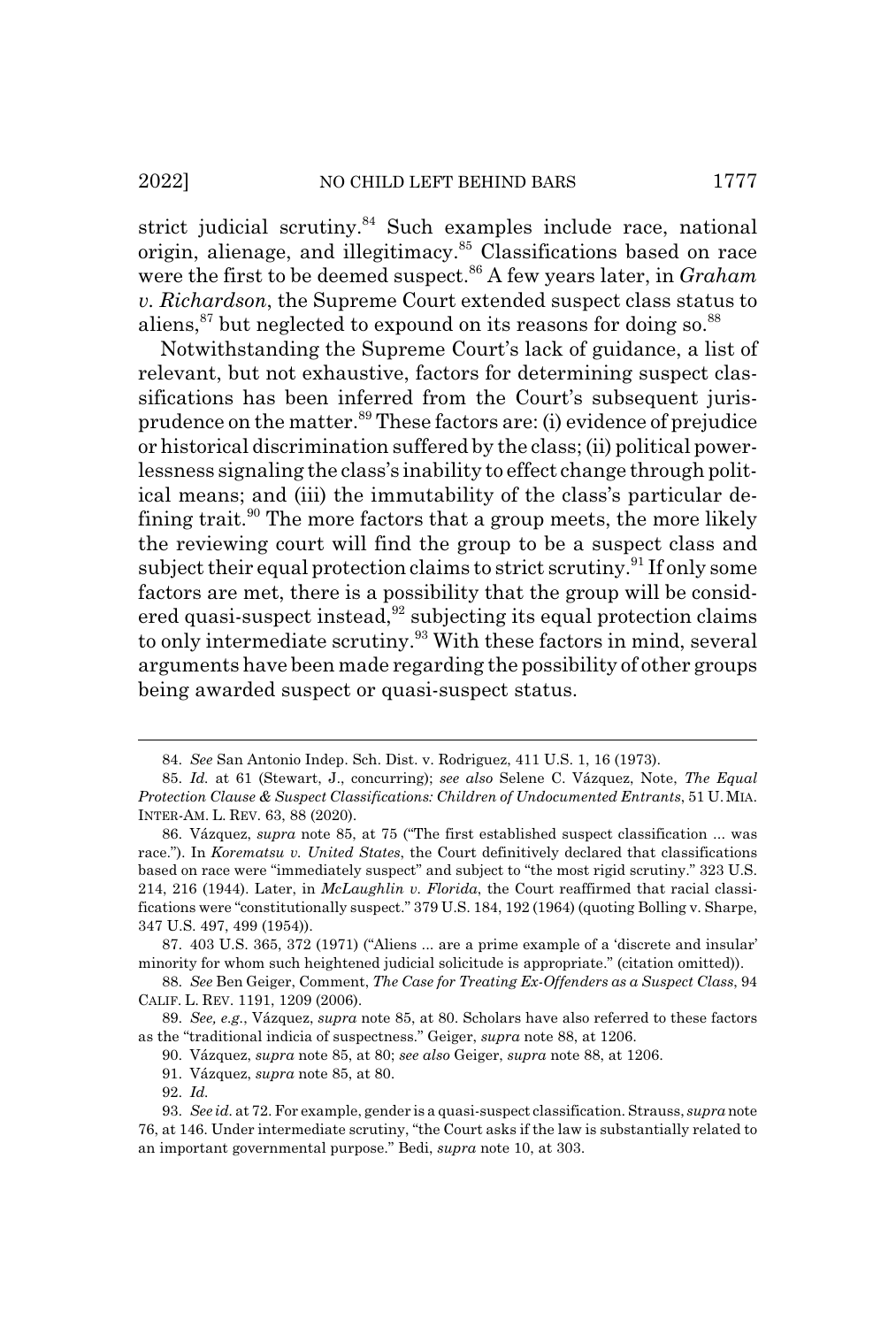strict judicial scrutiny.<sup>84</sup> Such examples include race, national origin, alienage, and illegitimacy.<sup>85</sup> Classifications based on race were the first to be deemed suspect.<sup>86</sup> A few years later, in *Graham v. Richardson*, the Supreme Court extended suspect class status to aliens,  $87$  but neglected to expound on its reasons for doing so.  $88$ 

Notwithstanding the Supreme Court's lack of guidance, a list of relevant, but not exhaustive, factors for determining suspect classifications has been inferred from the Court's subsequent jurisprudence on the matter.89 These factors are: (i) evidence of prejudice or historical discrimination suffered by the class; (ii) political powerlessness signaling the class's inability to effect change through political means; and (iii) the immutability of the class's particular defining trait.<sup>90</sup> The more factors that a group meets, the more likely the reviewing court will find the group to be a suspect class and subject their equal protection claims to strict scrutiny.<sup>91</sup> If only some factors are met, there is a possibility that the group will be considered quasi-suspect instead, $92$  subjecting its equal protection claims to only intermediate scrutiny.<sup>93</sup> With these factors in mind, several arguments have been made regarding the possibility of other groups being awarded suspect or quasi-suspect status.

<sup>84.</sup> *See* San Antonio Indep. Sch. Dist. v. Rodriguez, 411 U.S. 1, 16 (1973).

<sup>85.</sup> *Id.* at 61 (Stewart, J., concurring); *see also* Selene C. Vázquez, Note, *The Equal Protection Clause & Suspect Classifications: Children of Undocumented Entrants*, 51 U.MIA. INTER-AM. L. REV. 63, 88 (2020).

<sup>86.</sup> Vázquez, *supra* note 85, at 75 ("The first established suspect classification ... was race."). In *Korematsu v. United States*, the Court definitively declared that classifications based on race were "immediately suspect" and subject to "the most rigid scrutiny." 323 U.S. 214, 216 (1944). Later, in *McLaughlin v. Florida*, the Court reaffirmed that racial classifications were "constitutionally suspect." 379 U.S. 184, 192 (1964) (quoting Bolling v. Sharpe, 347 U.S. 497, 499 (1954)).

<sup>87. 403</sup> U.S. 365, 372 (1971) ("Aliens ... are a prime example of a 'discrete and insular' minority for whom such heightened judicial solicitude is appropriate." (citation omitted)).

<sup>88.</sup> *See* Ben Geiger, Comment, *The Case for Treating Ex-Offenders as a Suspect Class*, 94 CALIF. L. REV. 1191, 1209 (2006).

<sup>89.</sup> *See, e.g.*, Vázquez, *supra* note 85, at 80. Scholars have also referred to these factors as the "traditional indicia of suspectness." Geiger, *supra* note 88, at 1206.

<sup>90.</sup> Vázquez, *supra* note 85, at 80; *see also* Geiger, *supra* note 88, at 1206.

<sup>91.</sup> Vázquez, *supra* note 85, at 80.

<sup>92.</sup> *Id.*

<sup>93.</sup> *See id.* at 72. For example, gender is a quasi-suspect classification. Strauss, *supra* note 76, at 146. Under intermediate scrutiny, "the Court asks if the law is substantially related to an important governmental purpose." Bedi, *supra* note 10, at 303.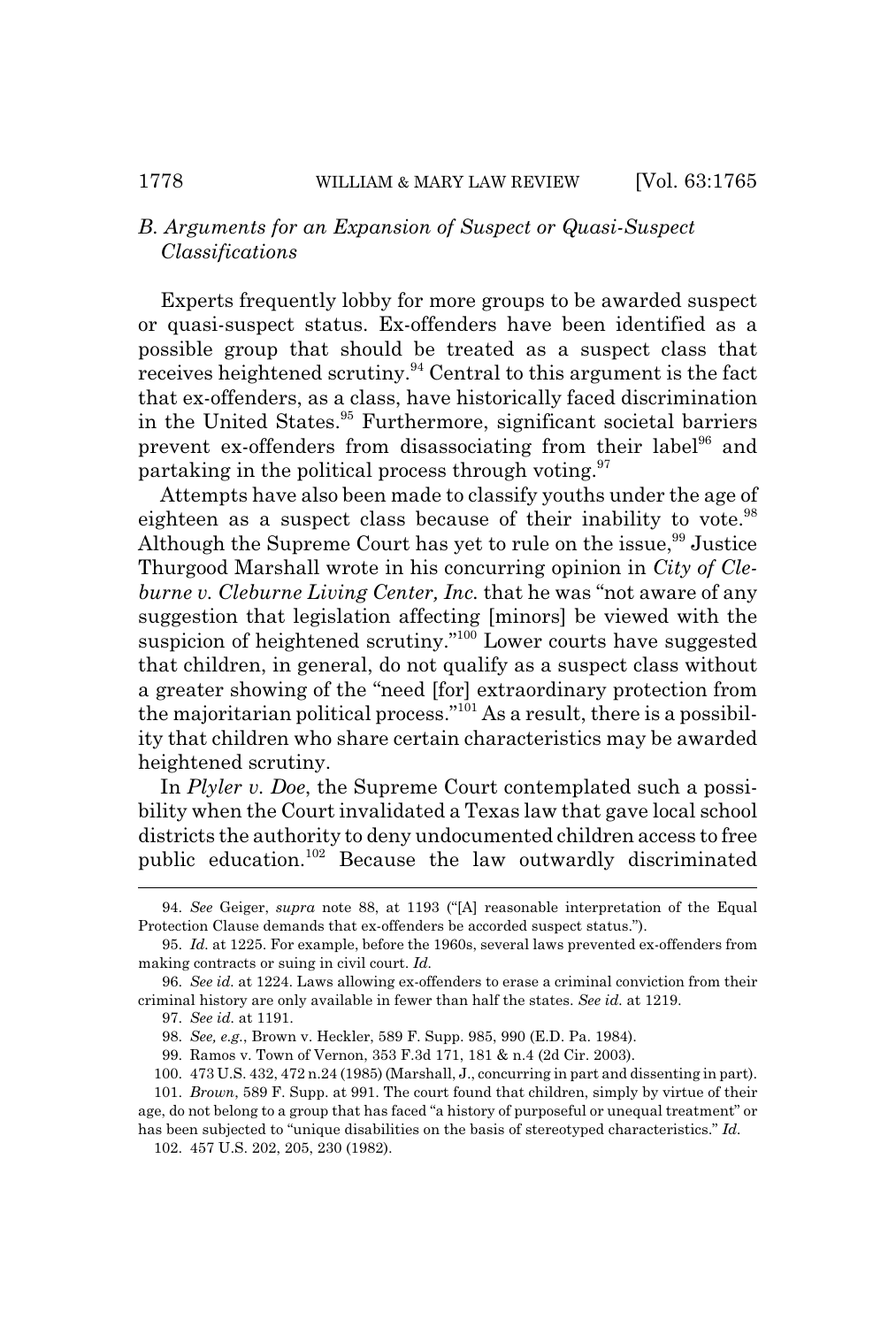## *B. Arguments for an Expansion of Suspect or Quasi-Suspect Classifications*

Experts frequently lobby for more groups to be awarded suspect or quasi-suspect status. Ex-offenders have been identified as a possible group that should be treated as a suspect class that receives heightened scrutiny.94 Central to this argument is the fact that ex-offenders, as a class, have historically faced discrimination in the United States.<sup>95</sup> Furthermore, significant societal barriers prevent ex-offenders from disassociating from their label<sup>96</sup> and partaking in the political process through voting. $97$ 

Attempts have also been made to classify youths under the age of eighteen as a suspect class because of their inability to vote.<sup>98</sup> Although the Supreme Court has yet to rule on the issue,  $99$  Justice Thurgood Marshall wrote in his concurring opinion in *City of Cleburne v. Cleburne Living Center, Inc.* that he was "not aware of any suggestion that legislation affecting [minors] be viewed with the suspicion of heightened scrutiny."100 Lower courts have suggested that children, in general, do not qualify as a suspect class without a greater showing of the "need [for] extraordinary protection from the majoritarian political process."101 As a result, there is a possibility that children who share certain characteristics may be awarded heightened scrutiny.

In *Plyler v. Doe*, the Supreme Court contemplated such a possibility when the Court invalidated a Texas law that gave local school districts the authority to deny undocumented children access to free public education.102 Because the law outwardly discriminated

<sup>94.</sup> *See* Geiger, *supra* note 88, at 1193 ("[A] reasonable interpretation of the Equal Protection Clause demands that ex-offenders be accorded suspect status.").

<sup>95.</sup> *Id.* at 1225. For example, before the 1960s, several laws prevented ex-offenders from making contracts or suing in civil court. *Id.*

<sup>96.</sup> *See id.* at 1224. Laws allowing ex-offenders to erase a criminal conviction from their criminal history are only available in fewer than half the states. *See id.* at 1219.

<sup>97.</sup> *See id.* at 1191.

<sup>98.</sup> *See, e.g.*, Brown v. Heckler, 589 F. Supp. 985, 990 (E.D. Pa. 1984).

<sup>99.</sup> Ramos v. Town of Vernon, 353 F.3d 171, 181 & n.4 (2d Cir. 2003).

<sup>100. 473</sup> U.S. 432, 472 n.24 (1985) (Marshall, J., concurring in part and dissenting in part).

<sup>101.</sup> *Brown*, 589 F. Supp. at 991. The court found that children, simply by virtue of their age, do not belong to a group that has faced "a history of purposeful or unequal treatment" or has been subjected to "unique disabilities on the basis of stereotyped characteristics." *Id.* 102. 457 U.S. 202, 205, 230 (1982).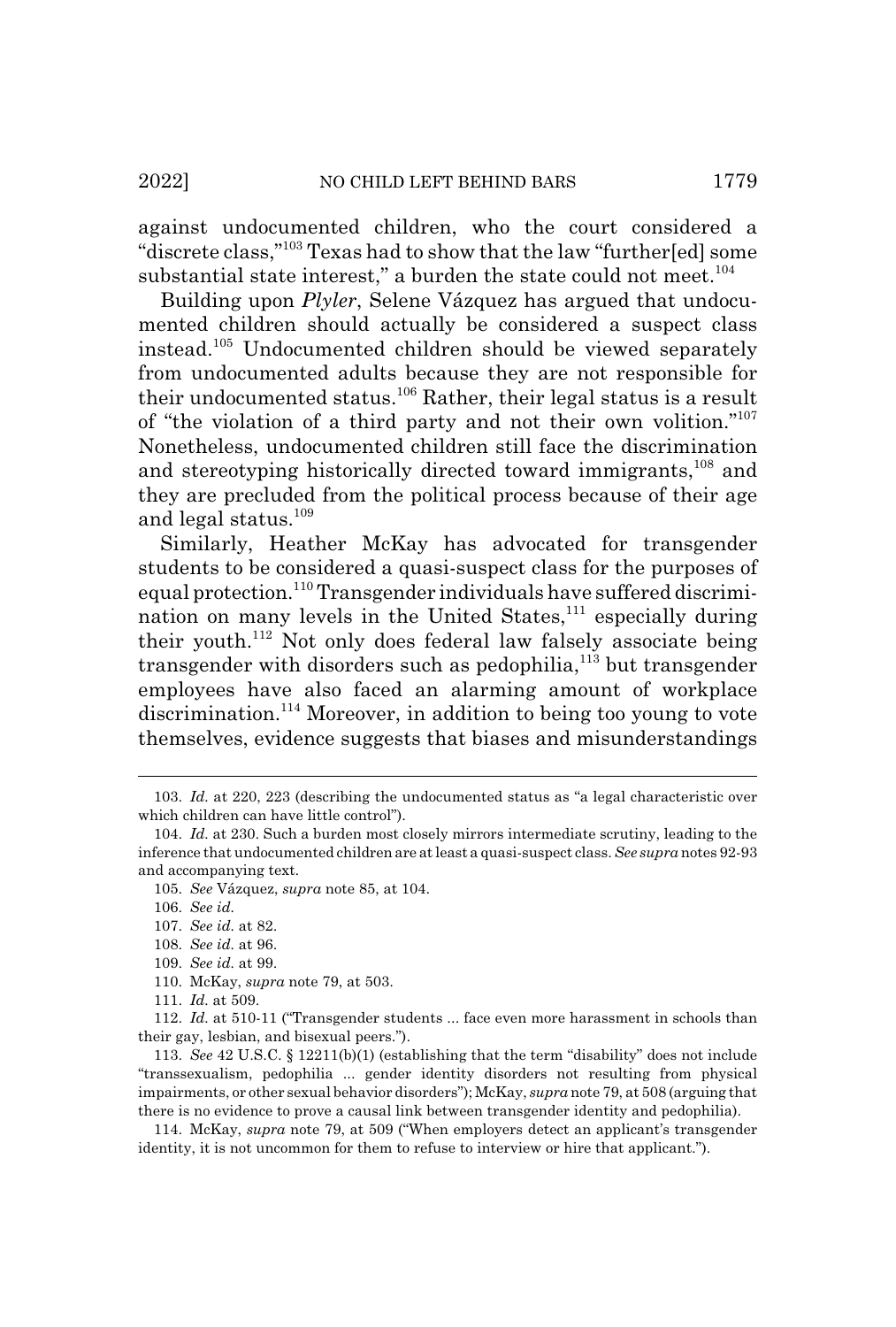against undocumented children, who the court considered a "discrete class,"103 Texas had to show that the law "further[ed] some substantial state interest," a burden the state could not meet. $^{104}$ 

Building upon *Plyler*, Selene Vázquez has argued that undocumented children should actually be considered a suspect class instead.105 Undocumented children should be viewed separately from undocumented adults because they are not responsible for their undocumented status.<sup>106</sup> Rather, their legal status is a result of "the violation of a third party and not their own volition."107 Nonetheless, undocumented children still face the discrimination and stereotyping historically directed toward immigrants,<sup>108</sup> and they are precluded from the political process because of their age and legal status.109

Similarly, Heather McKay has advocated for transgender students to be considered a quasi-suspect class for the purposes of equal protection.<sup>110</sup> Transgender individuals have suffered discrimination on many levels in the United States, $^{111}$  especially during their youth.112 Not only does federal law falsely associate being transgender with disorders such as pedophilia,<sup>113</sup> but transgender employees have also faced an alarming amount of workplace discrimination.<sup>114</sup> Moreover, in addition to being too young to vote themselves, evidence suggests that biases and misunderstandings

<sup>103.</sup> *Id.* at 220, 223 (describing the undocumented status as "a legal characteristic over which children can have little control").

<sup>104.</sup> *Id.* at 230. Such a burden most closely mirrors intermediate scrutiny, leading to the inference that undocumented children are at least a quasi-suspect class. *See supra* notes 92-93 and accompanying text.

<sup>105.</sup> *See* Vázquez, *supra* note 85, at 104.

<sup>106.</sup> *See id.*

<sup>107.</sup> *See id.* at 82.

<sup>108.</sup> *See id.* at 96.

<sup>109.</sup> *See id.* at 99.

<sup>110.</sup> McKay, *supra* note 79, at 503.

<sup>111.</sup> *Id.* at 509.

<sup>112.</sup> *Id.* at 510-11 ("Transgender students ... face even more harassment in schools than their gay, lesbian, and bisexual peers.").

<sup>113.</sup> *See* 42 U.S.C. § 12211(b)(1) (establishing that the term "disability" does not include "transsexualism, pedophilia ... gender identity disorders not resulting from physical impairments, or other sexual behavior disorders"); McKay, *supra* note 79, at 508 (arguing that there is no evidence to prove a causal link between transgender identity and pedophilia).

<sup>114.</sup> McKay, *supra* note 79, at 509 ("When employers detect an applicant's transgender identity, it is not uncommon for them to refuse to interview or hire that applicant.").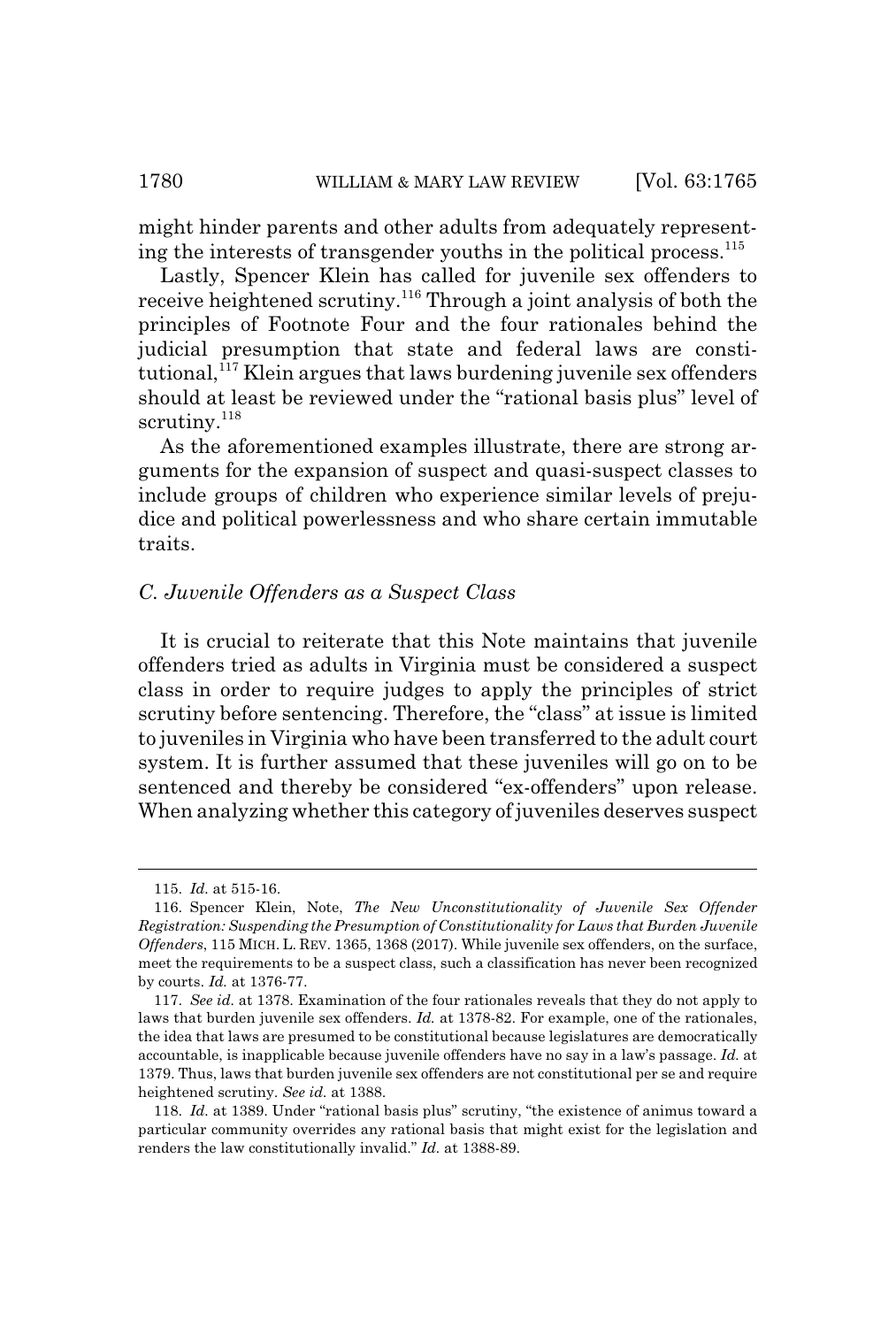might hinder parents and other adults from adequately representing the interests of transgender youths in the political process. $115$ 

Lastly, Spencer Klein has called for juvenile sex offenders to receive heightened scrutiny.116 Through a joint analysis of both the principles of Footnote Four and the four rationales behind the judicial presumption that state and federal laws are consti $tutional,$ <sup>117</sup> Klein argues that laws burdening juvenile sex offenders should at least be reviewed under the "rational basis plus" level of scrutiny.<sup>118</sup>

As the aforementioned examples illustrate, there are strong arguments for the expansion of suspect and quasi-suspect classes to include groups of children who experience similar levels of prejudice and political powerlessness and who share certain immutable traits.

#### *C. Juvenile Offenders as a Suspect Class*

It is crucial to reiterate that this Note maintains that juvenile offenders tried as adults in Virginia must be considered a suspect class in order to require judges to apply the principles of strict scrutiny before sentencing. Therefore, the "class" at issue is limited to juveniles in Virginia who have been transferred to the adult court system. It is further assumed that these juveniles will go on to be sentenced and thereby be considered "ex-offenders" upon release. When analyzing whether this category of juveniles deserves suspect

<sup>115.</sup> *Id.* at 515-16.

<sup>116.</sup> Spencer Klein, Note, *The New Unconstitutionality of Juvenile Sex Offender Registration: Suspending the Presumption of Constitutionality for Laws that Burden Juvenile Offenders*, 115 MICH. L. REV. 1365, 1368 (2017). While juvenile sex offenders, on the surface, meet the requirements to be a suspect class, such a classification has never been recognized by courts. *Id.* at 1376-77.

<sup>117.</sup> *See id.* at 1378. Examination of the four rationales reveals that they do not apply to laws that burden juvenile sex offenders. *Id.* at 1378-82. For example, one of the rationales, the idea that laws are presumed to be constitutional because legislatures are democratically accountable, is inapplicable because juvenile offenders have no say in a law's passage. *Id.* at 1379. Thus, laws that burden juvenile sex offenders are not constitutional per se and require heightened scrutiny. *See id.* at 1388.

<sup>118.</sup> *Id.* at 1389. Under "rational basis plus" scrutiny, "the existence of animus toward a particular community overrides any rational basis that might exist for the legislation and renders the law constitutionally invalid." *Id.* at 1388-89.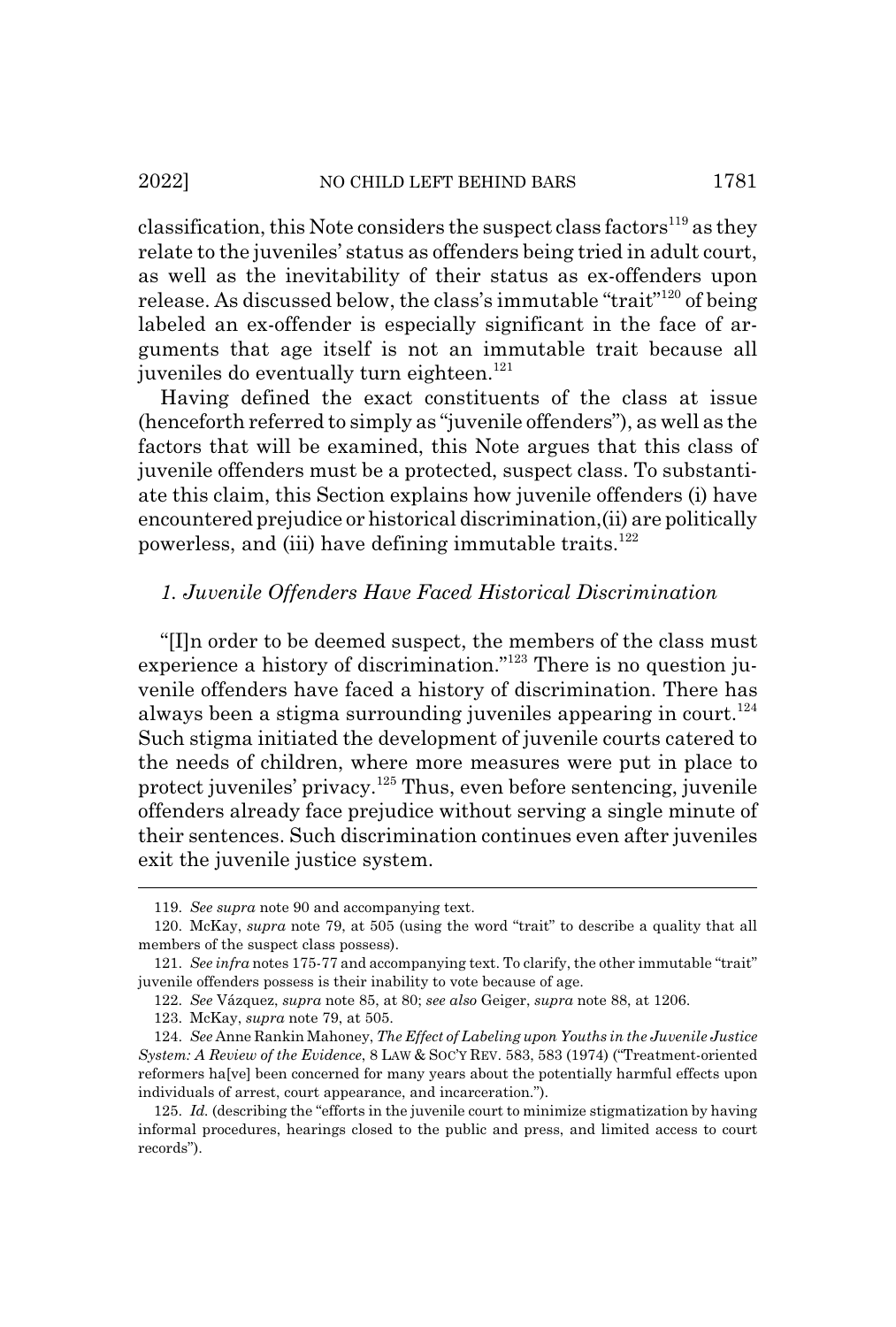classification, this Note considers the suspect class factors<sup>119</sup> as they relate to the juveniles' status as offenders being tried in adult court, as well as the inevitability of their status as ex-offenders upon release. As discussed below, the class's immutable "trait"120 of being labeled an ex-offender is especially significant in the face of arguments that age itself is not an immutable trait because all juveniles do eventually turn eighteen.<sup>121</sup>

Having defined the exact constituents of the class at issue (henceforth referred to simply as "juvenile offenders"), as well as the factors that will be examined, this Note argues that this class of juvenile offenders must be a protected, suspect class. To substantiate this claim, this Section explains how juvenile offenders (i) have encountered prejudice or historical discrimination,(ii) are politically powerless, and (iii) have defining immutable traits. $122$ 

## *1. Juvenile Offenders Have Faced Historical Discrimination*

"[I]n order to be deemed suspect, the members of the class must experience a history of discrimination."123 There is no question juvenile offenders have faced a history of discrimination. There has always been a stigma surrounding juveniles appearing in court.<sup>124</sup> Such stigma initiated the development of juvenile courts catered to the needs of children, where more measures were put in place to protect juveniles' privacy.125 Thus, even before sentencing, juvenile offenders already face prejudice without serving a single minute of their sentences. Such discrimination continues even after juveniles exit the juvenile justice system.

<sup>119.</sup> *See supra* note 90 and accompanying text.

<sup>120.</sup> McKay, *supra* note 79, at 505 (using the word "trait" to describe a quality that all members of the suspect class possess).

<sup>121.</sup> *See infra* notes 175-77 and accompanying text. To clarify, the other immutable "trait" juvenile offenders possess is their inability to vote because of age.

<sup>122.</sup> *See* Vázquez, *supra* note 85, at 80; *see also* Geiger, *supra* note 88, at 1206.

<sup>123.</sup> McKay, *supra* note 79, at 505.

<sup>124.</sup> *See* Anne Rankin Mahoney, *The Effect of Labeling upon Youths in the Juvenile Justice System: A Review of the Evidence*, 8 LAW & SOC'Y REV. 583, 583 (1974) ("Treatment-oriented reformers ha[ve] been concerned for many years about the potentially harmful effects upon individuals of arrest, court appearance, and incarceration.").

<sup>125.</sup> *Id.* (describing the "efforts in the juvenile court to minimize stigmatization by having informal procedures, hearings closed to the public and press, and limited access to court records").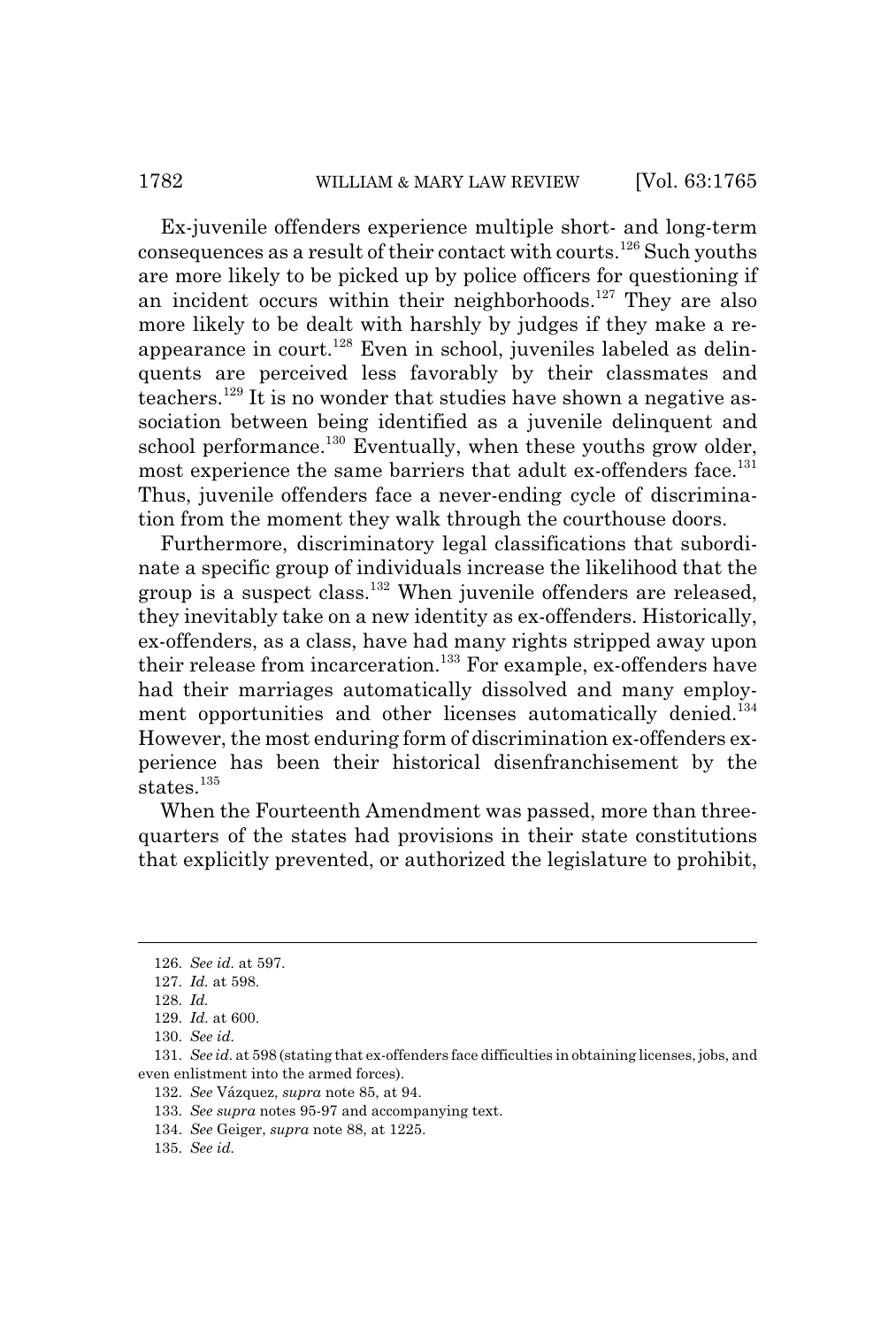Ex-juvenile offenders experience multiple short- and long-term consequences as a result of their contact with courts.126 Such youths are more likely to be picked up by police officers for questioning if an incident occurs within their neighborhoods.<sup>127</sup> They are also more likely to be dealt with harshly by judges if they make a reappearance in court.<sup>128</sup> Even in school, juveniles labeled as delinquents are perceived less favorably by their classmates and teachers.129 It is no wonder that studies have shown a negative association between being identified as a juvenile delinquent and school performance.<sup>130</sup> Eventually, when these youths grow older, most experience the same barriers that adult ex-offenders face.<sup>131</sup> Thus, juvenile offenders face a never-ending cycle of discrimination from the moment they walk through the courthouse doors.

Furthermore, discriminatory legal classifications that subordinate a specific group of individuals increase the likelihood that the group is a suspect class.<sup>132</sup> When juvenile offenders are released, they inevitably take on a new identity as ex-offenders. Historically, ex-offenders, as a class, have had many rights stripped away upon their release from incarceration.<sup>133</sup> For example, ex-offenders have had their marriages automatically dissolved and many employment opportunities and other licenses automatically denied.<sup>134</sup> However, the most enduring form of discrimination ex-offenders experience has been their historical disenfranchisement by the states.<sup>135</sup>

When the Fourteenth Amendment was passed, more than threequarters of the states had provisions in their state constitutions that explicitly prevented, or authorized the legislature to prohibit,

<sup>126.</sup> *See id.* at 597.

<sup>127.</sup> *Id.* at 598.

<sup>128.</sup> *Id.*

<sup>129.</sup> *Id.* at 600.

<sup>130.</sup> *See id.*

<sup>131.</sup> *See id.* at 598 (stating that ex-offenders face difficulties in obtaining licenses, jobs, and even enlistment into the armed forces).

<sup>132.</sup> *See* Vázquez, *supra* note 85, at 94.

<sup>133.</sup> *See supra* notes 95-97 and accompanying text.

<sup>134.</sup> *See* Geiger, *supra* note 88, at 1225.

<sup>135.</sup> *See id.*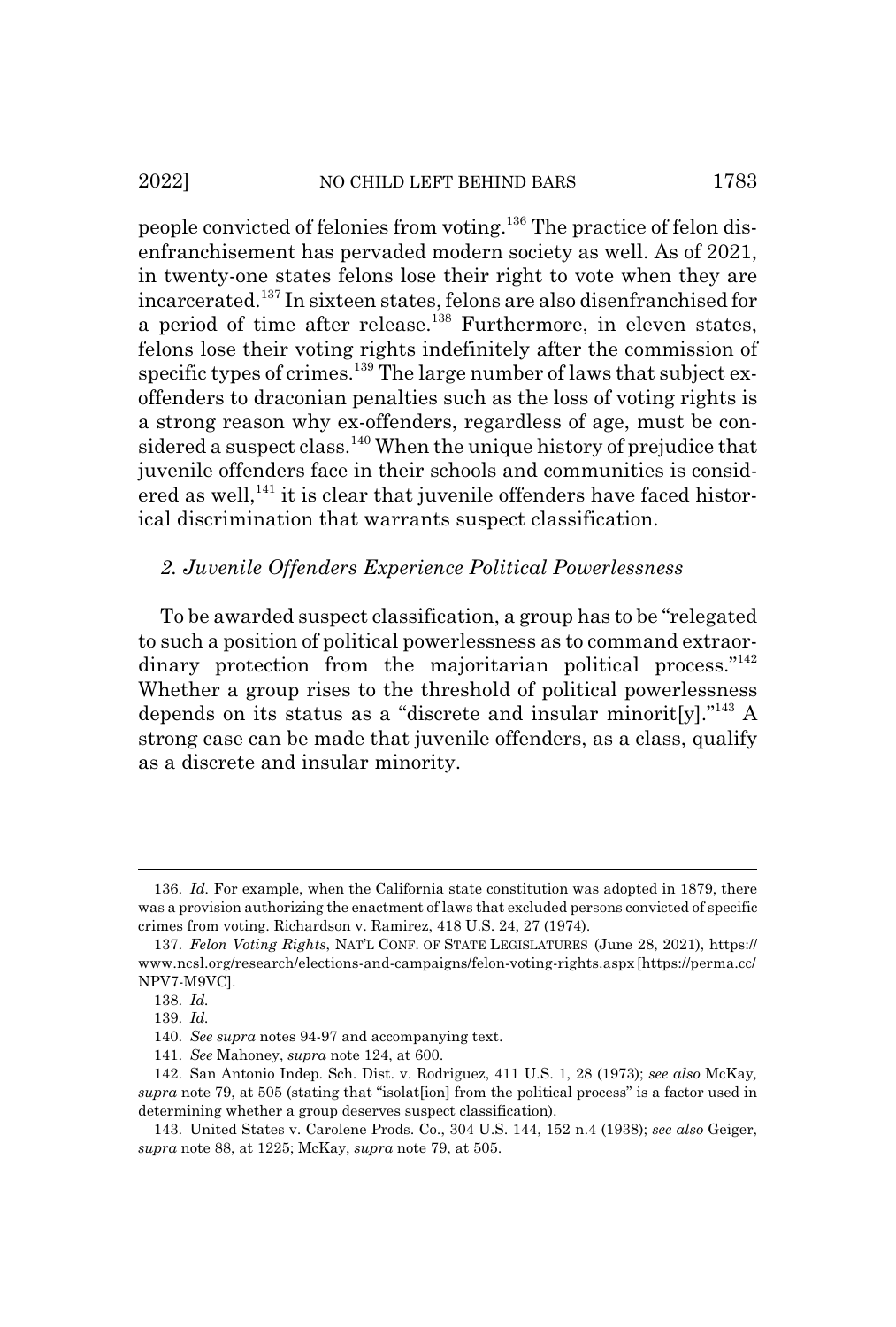#### 2022] NO CHILD LEFT BEHIND BARS 1783

people convicted of felonies from voting.136 The practice of felon disenfranchisement has pervaded modern society as well. As of 2021, in twenty-one states felons lose their right to vote when they are incarcerated.137 In sixteen states, felons are also disenfranchised for a period of time after release.<sup>138</sup> Furthermore, in eleven states, felons lose their voting rights indefinitely after the commission of specific types of crimes.<sup>139</sup> The large number of laws that subject exoffenders to draconian penalties such as the loss of voting rights is a strong reason why ex-offenders, regardless of age, must be considered a suspect class.<sup>140</sup> When the unique history of prejudice that juvenile offenders face in their schools and communities is considered as well,<sup> $141$ </sup> it is clear that juvenile offenders have faced historical discrimination that warrants suspect classification.

## *2. Juvenile Offenders Experience Political Powerlessness*

To be awarded suspect classification, a group has to be "relegated to such a position of political powerlessness as to command extraordinary protection from the majoritarian political process."<sup>142</sup> Whether a group rises to the threshold of political powerlessness depends on its status as a "discrete and insular minorit[y]."<sup>143</sup> A strong case can be made that juvenile offenders, as a class, qualify as a discrete and insular minority.

<sup>136.</sup> *Id.* For example, when the California state constitution was adopted in 1879, there was a provision authorizing the enactment of laws that excluded persons convicted of specific crimes from voting. Richardson v. Ramirez, 418 U.S. 24, 27 (1974).

<sup>137.</sup> *Felon Voting Rights*, NAT'L CONF. OF STATE LEGISLATURES (June 28, 2021), https:// www.ncsl.org/research/elections-and-campaigns/felon-voting-rights.aspx [https://perma.cc/ NPV7-M9VC].

<sup>138.</sup> *Id.*

<sup>139.</sup> *Id.*

<sup>140.</sup> *See supra* notes 94-97 and accompanying text.

<sup>141.</sup> *See* Mahoney, *supra* note 124, at 600.

<sup>142.</sup> San Antonio Indep. Sch. Dist. v. Rodriguez, 411 U.S. 1, 28 (1973); *see also* McKay*, supra* note 79, at 505 (stating that "isolat[ion] from the political process" is a factor used in determining whether a group deserves suspect classification).

<sup>143.</sup> United States v. Carolene Prods. Co., 304 U.S. 144, 152 n.4 (1938); *see also* Geiger, *supra* note 88, at 1225; McKay, *supra* note 79, at 505.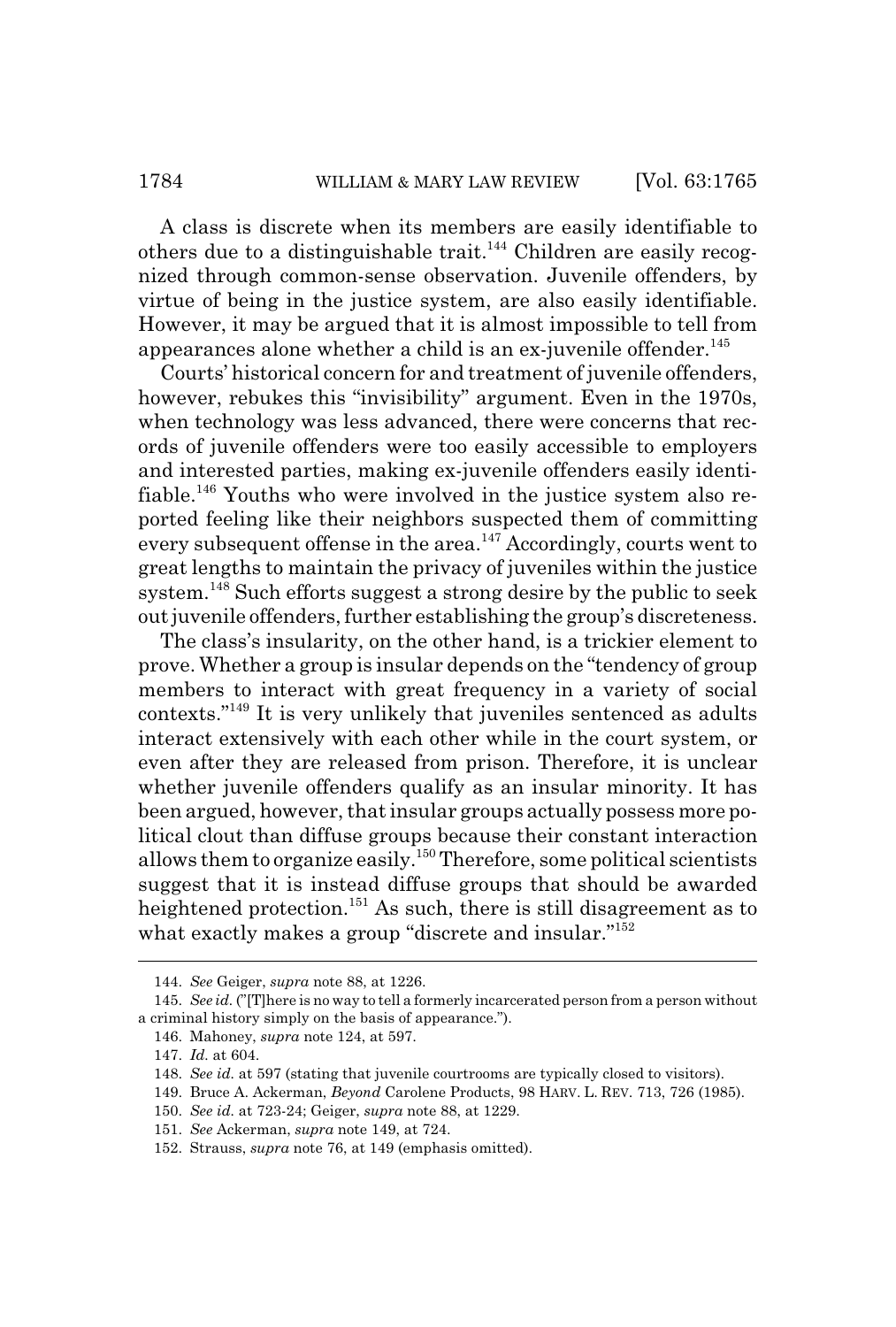A class is discrete when its members are easily identifiable to others due to a distinguishable trait.<sup>144</sup> Children are easily recognized through common-sense observation. Juvenile offenders, by virtue of being in the justice system, are also easily identifiable. However, it may be argued that it is almost impossible to tell from appearances alone whether a child is an ex-juvenile offender.<sup>145</sup>

Courts' historical concern for and treatment of juvenile offenders, however, rebukes this "invisibility" argument. Even in the 1970s, when technology was less advanced, there were concerns that records of juvenile offenders were too easily accessible to employers and interested parties, making ex-juvenile offenders easily identifiable.146 Youths who were involved in the justice system also reported feeling like their neighbors suspected them of committing every subsequent offense in the area.<sup>147</sup> Accordingly, courts went to great lengths to maintain the privacy of juveniles within the justice system.<sup>148</sup> Such efforts suggest a strong desire by the public to seek out juvenile offenders, further establishing the group's discreteness.

The class's insularity, on the other hand, is a trickier element to prove. Whether a group is insular depends on the "tendency of group members to interact with great frequency in a variety of social contexts."149 It is very unlikely that juveniles sentenced as adults interact extensively with each other while in the court system, or even after they are released from prison. Therefore, it is unclear whether juvenile offenders qualify as an insular minority. It has been argued, however, that insular groups actually possess more political clout than diffuse groups because their constant interaction allows them to organize easily.<sup>150</sup> Therefore, some political scientists suggest that it is instead diffuse groups that should be awarded heightened protection.<sup>151</sup> As such, there is still disagreement as to what exactly makes a group "discrete and insular."<sup>152</sup>

- 149. Bruce A. Ackerman, *Beyond* Carolene Products, 98 HARV. L. REV. 713, 726 (1985).
- 150. *See id.* at 723-24; Geiger, *supra* note 88, at 1229.

<sup>144.</sup> *See* Geiger, *supra* note 88, at 1226.

<sup>145.</sup> *See id.* ("[T]here is no way to tell a formerly incarcerated person from a person without a criminal history simply on the basis of appearance.").

<sup>146.</sup> Mahoney, *supra* note 124, at 597.

<sup>147.</sup> *Id.* at 604.

<sup>148.</sup> *See id.* at 597 (stating that juvenile courtrooms are typically closed to visitors).

<sup>151.</sup> *See* Ackerman, *supra* note 149, at 724.

<sup>152.</sup> Strauss, *supra* note 76, at 149 (emphasis omitted).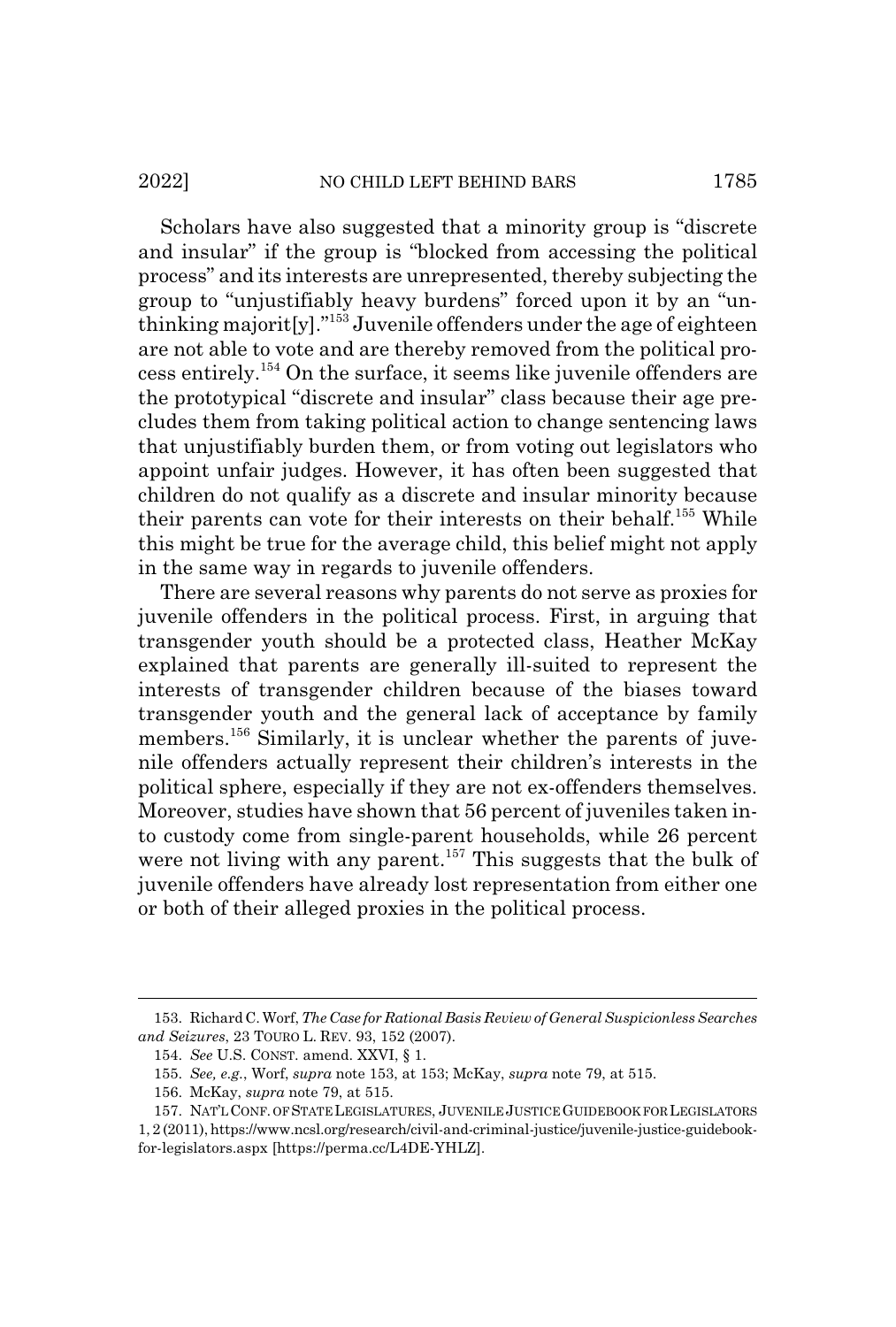#### 2022] NO CHILD LEFT BEHIND BARS 1785

Scholars have also suggested that a minority group is "discrete and insular" if the group is "blocked from accessing the political process" and its interests are unrepresented, thereby subjecting the group to "unjustifiably heavy burdens" forced upon it by an "unthinking majorit[y]."153 Juvenile offenders under the age of eighteen are not able to vote and are thereby removed from the political process entirely.154 On the surface, it seems like juvenile offenders are the prototypical "discrete and insular" class because their age precludes them from taking political action to change sentencing laws that unjustifiably burden them, or from voting out legislators who appoint unfair judges. However, it has often been suggested that children do not qualify as a discrete and insular minority because their parents can vote for their interests on their behalf.155 While this might be true for the average child, this belief might not apply in the same way in regards to juvenile offenders.

There are several reasons why parents do not serve as proxies for juvenile offenders in the political process. First, in arguing that transgender youth should be a protected class, Heather McKay explained that parents are generally ill-suited to represent the interests of transgender children because of the biases toward transgender youth and the general lack of acceptance by family members.<sup>156</sup> Similarly, it is unclear whether the parents of juvenile offenders actually represent their children's interests in the political sphere, especially if they are not ex-offenders themselves. Moreover, studies have shown that 56 percent of juveniles taken into custody come from single-parent households, while 26 percent were not living with any parent.<sup>157</sup> This suggests that the bulk of juvenile offenders have already lost representation from either one or both of their alleged proxies in the political process.

<sup>153.</sup> Richard C. Worf, *The Case for Rational Basis Review of General Suspicionless Searches and Seizures*, 23 TOURO L. REV. 93, 152 (2007).

<sup>154.</sup> *See* U.S. CONST. amend. XXVI, § 1.

<sup>155.</sup> *See, e.g.*, Worf, *supra* note 153, at 153; McKay, *supra* note 79, at 515.

<sup>156.</sup> McKay, *supra* note 79, at 515.

<sup>157.</sup> NAT'LCONF. OF STATE LEGISLATURES, JUVENILE JUSTICE GUIDEBOOK FOR LEGISLATORS 1, 2 (2011), https://www.ncsl.org/research/civil-and-criminal-justice/juvenile-justice-guidebookfor-legislators.aspx [https://perma.cc/L4DE-YHLZ].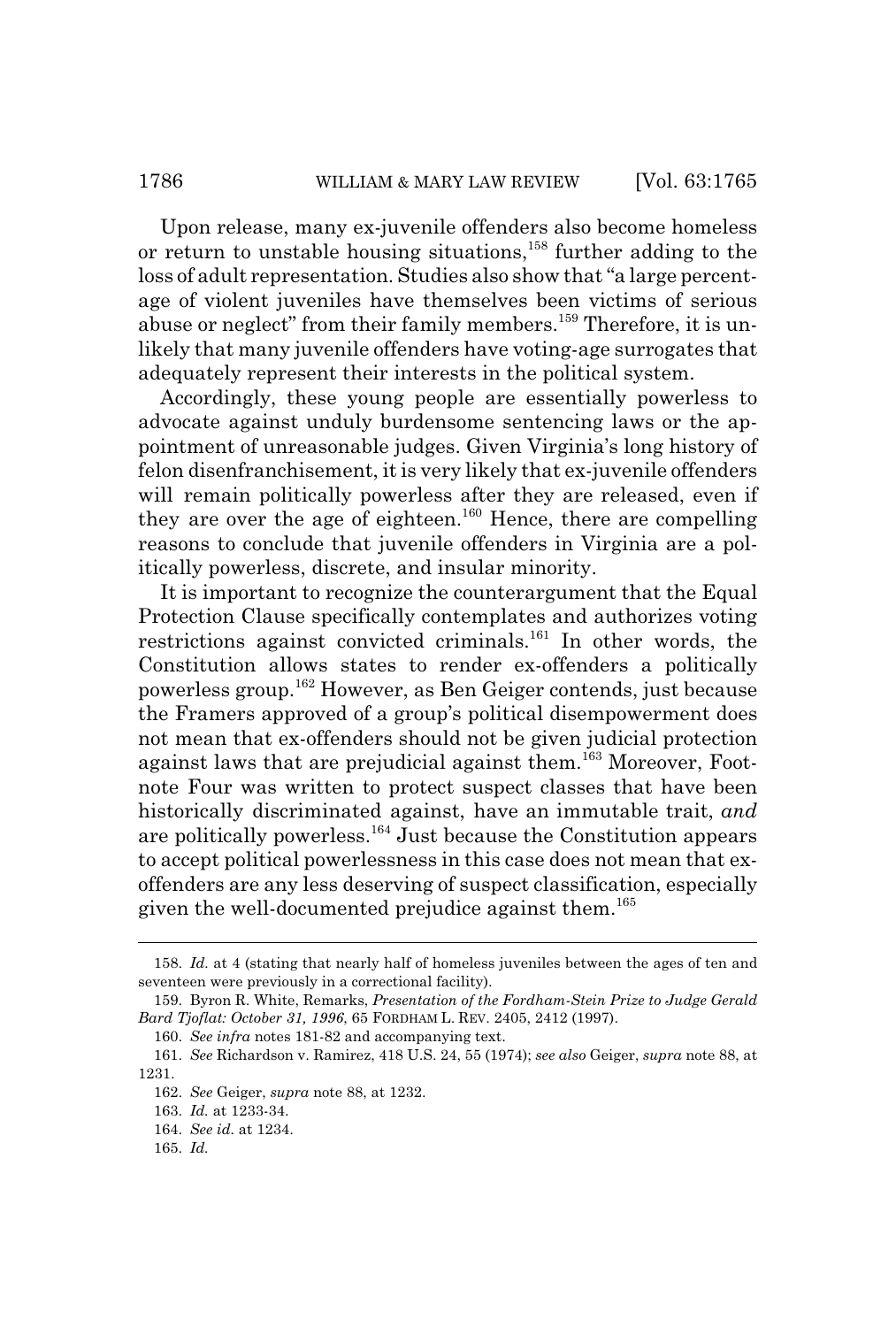Upon release, many ex-juvenile offenders also become homeless or return to unstable housing situations,<sup>158</sup> further adding to the loss of adult representation. Studies also show that "a large percentage of violent juveniles have themselves been victims of serious abuse or neglect" from their family members.<sup>159</sup> Therefore, it is unlikely that many juvenile offenders have voting-age surrogates that adequately represent their interests in the political system.

Accordingly, these young people are essentially powerless to advocate against unduly burdensome sentencing laws or the appointment of unreasonable judges. Given Virginia's long history of felon disenfranchisement, it is very likely that ex-juvenile offenders will remain politically powerless after they are released, even if they are over the age of eighteen.<sup>160</sup> Hence, there are compelling reasons to conclude that juvenile offenders in Virginia are a politically powerless, discrete, and insular minority.

It is important to recognize the counterargument that the Equal Protection Clause specifically contemplates and authorizes voting restrictions against convicted criminals.<sup>161</sup> In other words, the Constitution allows states to render ex-offenders a politically powerless group.162 However, as Ben Geiger contends, just because the Framers approved of a group's political disempowerment does not mean that ex-offenders should not be given judicial protection against laws that are prejudicial against them.<sup>163</sup> Moreover, Footnote Four was written to protect suspect classes that have been historically discriminated against, have an immutable trait, *and* are politically powerless.<sup>164</sup> Just because the Constitution appears to accept political powerlessness in this case does not mean that exoffenders are any less deserving of suspect classification, especially given the well-documented prejudice against them.<sup>165</sup>

<sup>158.</sup> *Id.* at 4 (stating that nearly half of homeless juveniles between the ages of ten and seventeen were previously in a correctional facility).

<sup>159.</sup> Byron R. White, Remarks, *Presentation of the Fordham-Stein Prize to Judge Gerald Bard Tjoflat: October 31, 1996*, 65 FORDHAM L. REV. 2405, 2412 (1997).

<sup>160.</sup> *See infra* notes 181-82 and accompanying text.

<sup>161.</sup> *See* Richardson v. Ramirez, 418 U.S. 24, 55 (1974); *see also* Geiger, *supra* note 88, at 1231.

<sup>162.</sup> *See* Geiger, *supra* note 88, at 1232.

<sup>163.</sup> *Id.* at 1233-34.

<sup>164.</sup> *See id.* at 1234.

<sup>165.</sup> *Id.*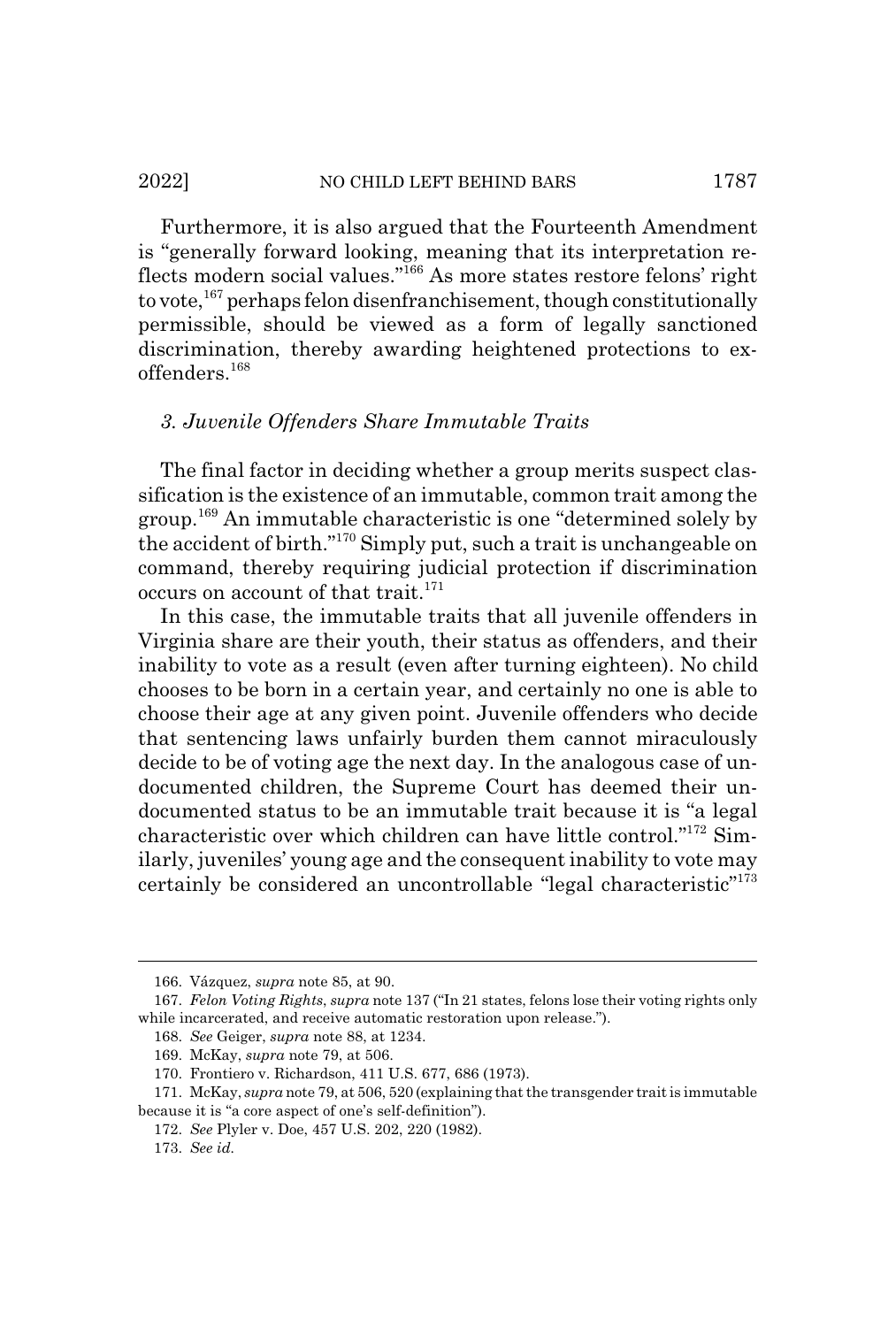#### 2022] NO CHILD LEFT BEHIND BARS 1787

Furthermore, it is also argued that the Fourteenth Amendment is "generally forward looking, meaning that its interpretation reflects modern social values."<sup>166</sup> As more states restore felons' right to vote,<sup>167</sup> perhaps felon disenfranchisement, though constitutionally permissible, should be viewed as a form of legally sanctioned discrimination, thereby awarding heightened protections to exoffenders.168

## *3. Juvenile Offenders Share Immutable Traits*

The final factor in deciding whether a group merits suspect classification is the existence of an immutable, common trait among the group.169 An immutable characteristic is one "determined solely by the accident of birth."170 Simply put, such a trait is unchangeable on command, thereby requiring judicial protection if discrimination occurs on account of that trait.<sup>171</sup>

In this case, the immutable traits that all juvenile offenders in Virginia share are their youth, their status as offenders, and their inability to vote as a result (even after turning eighteen). No child chooses to be born in a certain year, and certainly no one is able to choose their age at any given point. Juvenile offenders who decide that sentencing laws unfairly burden them cannot miraculously decide to be of voting age the next day. In the analogous case of undocumented children, the Supreme Court has deemed their undocumented status to be an immutable trait because it is "a legal characteristic over which children can have little control."172 Similarly, juveniles' young age and the consequent inability to vote may certainly be considered an uncontrollable "legal characteristic"<sup>173</sup>

<sup>166.</sup> Vázquez, *supra* note 85, at 90.

<sup>167.</sup> *Felon Voting Rights*, *supra* note 137 ("In 21 states, felons lose their voting rights only while incarcerated, and receive automatic restoration upon release.").

<sup>168.</sup> *See* Geiger, *supra* note 88, at 1234.

<sup>169.</sup> McKay, *supra* note 79, at 506.

<sup>170.</sup> Frontiero v. Richardson, 411 U.S. 677, 686 (1973).

<sup>171.</sup> McKay, *supra* note 79, at 506, 520 (explaining that the transgender trait is immutable because it is "a core aspect of one's self-definition").

<sup>172.</sup> *See* Plyler v. Doe, 457 U.S. 202, 220 (1982).

<sup>173.</sup> *See id.*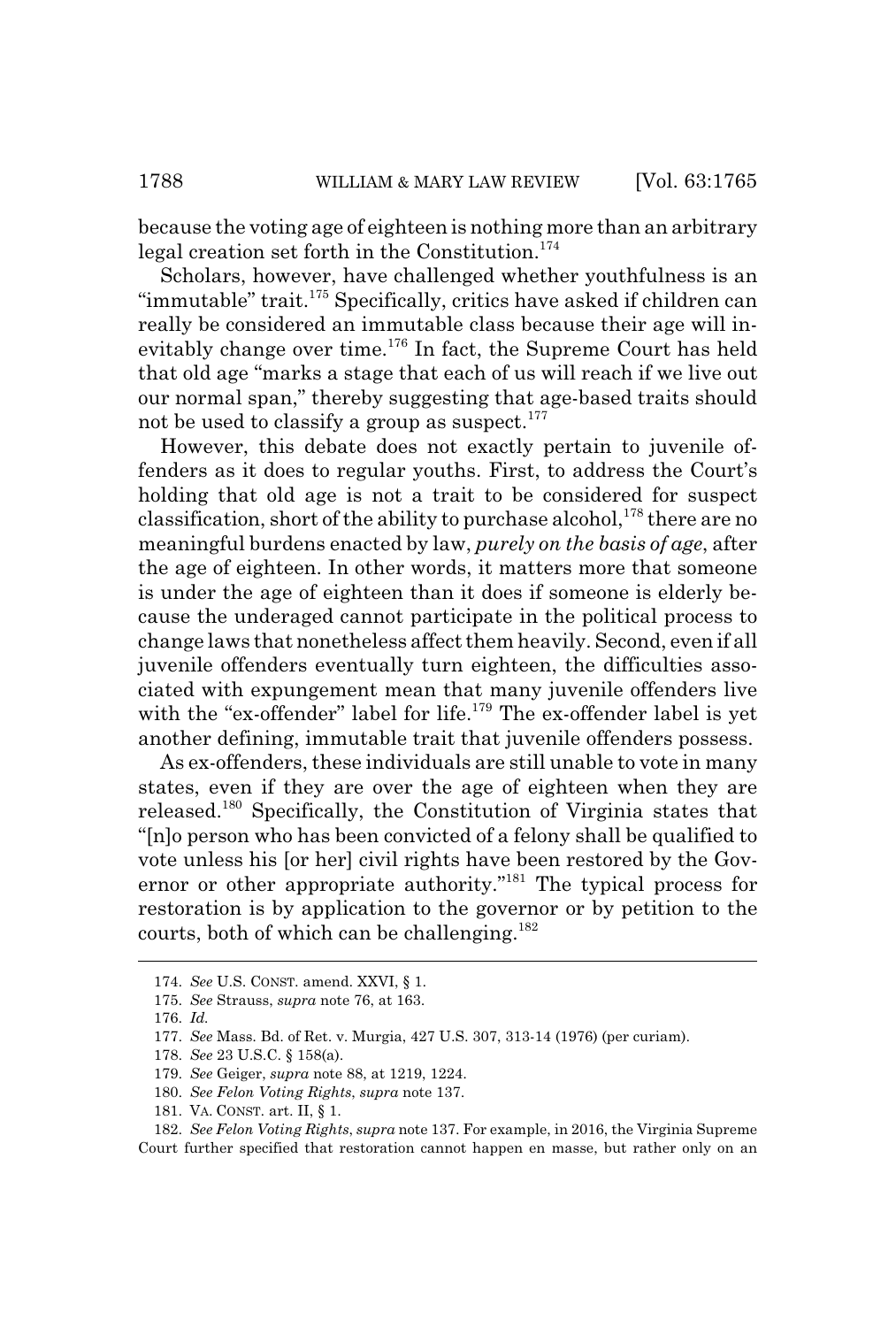because the voting age of eighteen is nothing more than an arbitrary legal creation set forth in the Constitution. $174$ 

Scholars, however, have challenged whether youthfulness is an "immutable" trait.<sup>175</sup> Specifically, critics have asked if children can really be considered an immutable class because their age will inevitably change over time.<sup>176</sup> In fact, the Supreme Court has held that old age "marks a stage that each of us will reach if we live out our normal span," thereby suggesting that age-based traits should not be used to classify a group as suspect.<sup>177</sup>

However, this debate does not exactly pertain to juvenile offenders as it does to regular youths. First, to address the Court's holding that old age is not a trait to be considered for suspect classification, short of the ability to purchase alcohol, $178$  there are no meaningful burdens enacted by law, *purely on the basis of age*, after the age of eighteen. In other words, it matters more that someone is under the age of eighteen than it does if someone is elderly because the underaged cannot participate in the political process to change laws that nonetheless affect them heavily. Second, even if all juvenile offenders eventually turn eighteen, the difficulties associated with expungement mean that many juvenile offenders live with the "ex-offender" label for life.<sup>179</sup> The ex-offender label is yet another defining, immutable trait that juvenile offenders possess.

As ex-offenders, these individuals are still unable to vote in many states, even if they are over the age of eighteen when they are released.180 Specifically, the Constitution of Virginia states that "[n]o person who has been convicted of a felony shall be qualified to vote unless his [or her] civil rights have been restored by the Governor or other appropriate authority."181 The typical process for restoration is by application to the governor or by petition to the courts, both of which can be challenging.<sup>182</sup>

<sup>174.</sup> *See* U.S. CONST. amend. XXVI, § 1.

<sup>175.</sup> *See* Strauss, *supra* note 76, at 163.

<sup>176.</sup> *Id.*

<sup>177.</sup> *See* Mass. Bd. of Ret. v. Murgia, 427 U.S. 307, 313-14 (1976) (per curiam).

<sup>178.</sup> *See* 23 U.S.C. § 158(a).

<sup>179.</sup> *See* Geiger, *supra* note 88, at 1219, 1224.

<sup>180.</sup> *See Felon Voting Rights*, *supra* note 137.

<sup>181.</sup> VA. CONST. art. II, § 1.

<sup>182.</sup> *See Felon Voting Rights*, *supra* note 137. For example, in 2016, the Virginia Supreme Court further specified that restoration cannot happen en masse, but rather only on an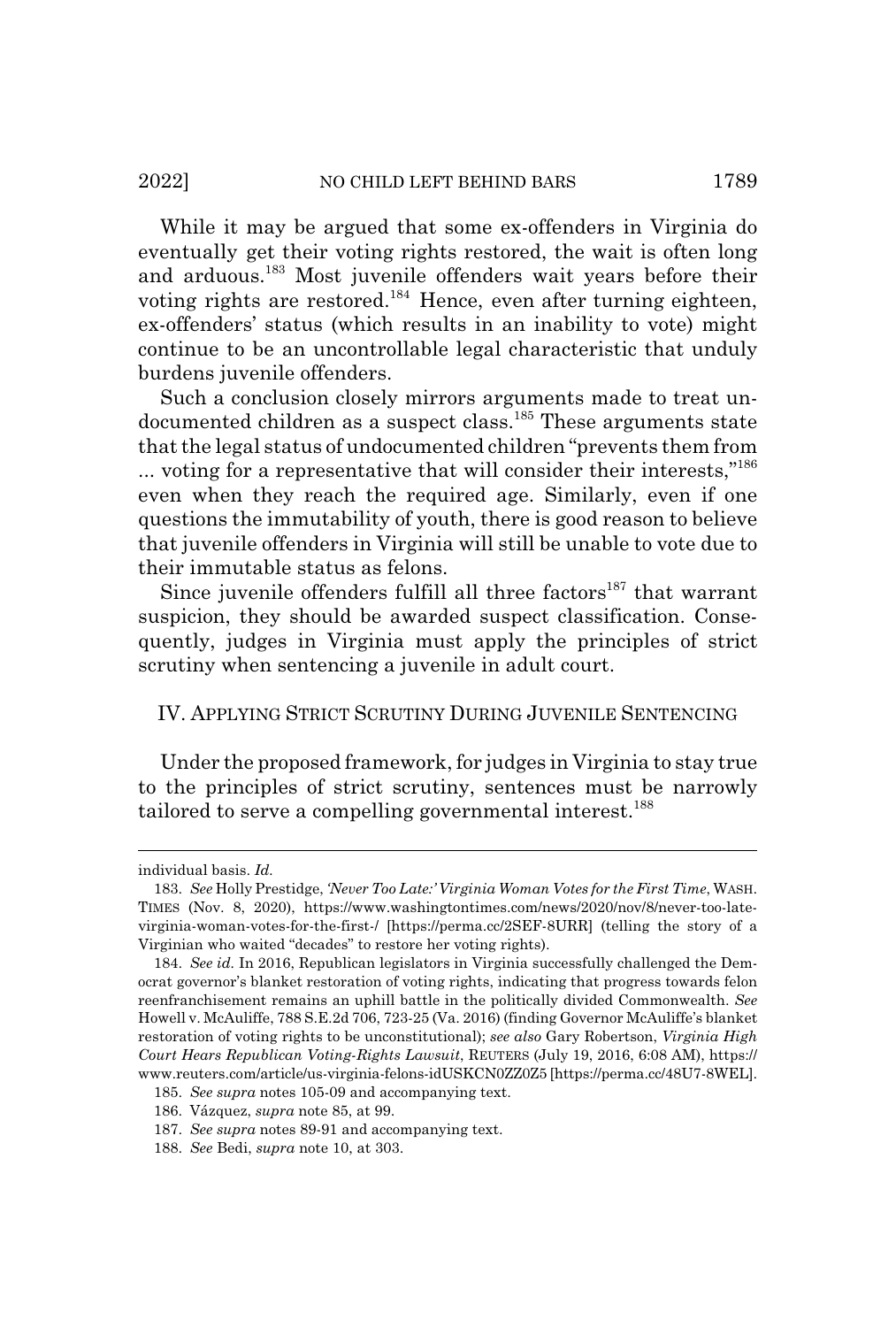While it may be argued that some ex-offenders in Virginia do eventually get their voting rights restored, the wait is often long and arduous.183 Most juvenile offenders wait years before their voting rights are restored.184 Hence, even after turning eighteen, ex-offenders' status (which results in an inability to vote) might continue to be an uncontrollable legal characteristic that unduly burdens juvenile offenders.

Such a conclusion closely mirrors arguments made to treat undocumented children as a suspect class.<sup>185</sup> These arguments state that the legal status of undocumented children "prevents them from ... voting for a representative that will consider their interests,"186 even when they reach the required age. Similarly, even if one questions the immutability of youth, there is good reason to believe that juvenile offenders in Virginia will still be unable to vote due to their immutable status as felons.

Since juvenile offenders fulfill all three factors<sup>187</sup> that warrant suspicion, they should be awarded suspect classification. Consequently, judges in Virginia must apply the principles of strict scrutiny when sentencing a juvenile in adult court.

## IV. APPLYING STRICT SCRUTINY DURING JUVENILE SENTENCING

Under the proposed framework, for judges in Virginia to stay true to the principles of strict scrutiny, sentences must be narrowly tailored to serve a compelling governmental interest.<sup>188</sup>

individual basis. *Id.*

<sup>183.</sup> *See* Holly Prestidge, *'Never Too Late:' Virginia Woman Votes for the First Time*, WASH. TIMES (Nov. 8, 2020), https://www.washingtontimes.com/news/2020/nov/8/never-too-latevirginia-woman-votes-for-the-first-/ [https://perma.cc/2SEF-8URR] (telling the story of a Virginian who waited "decades" to restore her voting rights).

<sup>184.</sup> *See id.* In 2016, Republican legislators in Virginia successfully challenged the Democrat governor's blanket restoration of voting rights, indicating that progress towards felon reenfranchisement remains an uphill battle in the politically divided Commonwealth. *See* Howell v. McAuliffe, 788 S.E.2d 706, 723-25 (Va. 2016) (finding Governor McAuliffe's blanket restoration of voting rights to be unconstitutional); *see also* Gary Robertson, *Virginia High Court Hears Republican Voting-Rights Lawsuit*, REUTERS (July 19, 2016, 6:08 AM), https:// www.reuters.com/article/us-virginia-felons-idUSKCN0ZZ0Z5 [https://perma.cc/48U7-8WEL].

<sup>185.</sup> *See supra* notes 105-09 and accompanying text.

<sup>186.</sup> Vázquez, *supra* note 85, at 99.

<sup>187.</sup> *See supra* notes 89-91 and accompanying text.

<sup>188.</sup> *See* Bedi, *supra* note 10, at 303.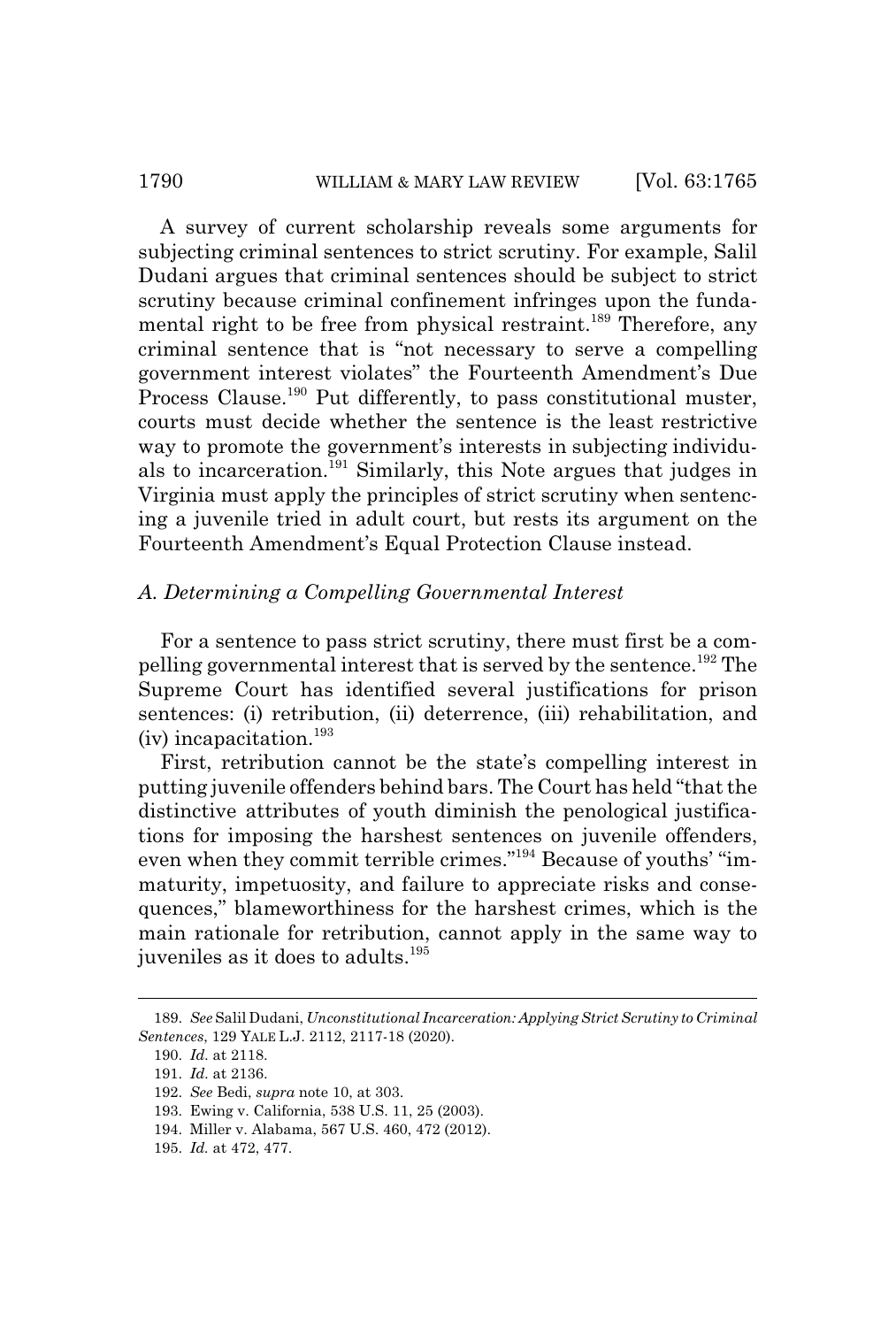## 1790 WILLIAM & MARY LAW REVIEW [Vol. 63:1765]

A survey of current scholarship reveals some arguments for subjecting criminal sentences to strict scrutiny. For example, Salil Dudani argues that criminal sentences should be subject to strict scrutiny because criminal confinement infringes upon the fundamental right to be free from physical restraint.<sup>189</sup> Therefore, any criminal sentence that is "not necessary to serve a compelling government interest violates" the Fourteenth Amendment's Due Process Clause.<sup>190</sup> Put differently, to pass constitutional muster, courts must decide whether the sentence is the least restrictive way to promote the government's interests in subjecting individuals to incarceration.191 Similarly, this Note argues that judges in Virginia must apply the principles of strict scrutiny when sentencing a juvenile tried in adult court, but rests its argument on the Fourteenth Amendment's Equal Protection Clause instead.

## *A. Determining a Compelling Governmental Interest*

For a sentence to pass strict scrutiny, there must first be a compelling governmental interest that is served by the sentence.192 The Supreme Court has identified several justifications for prison sentences: (i) retribution, (ii) deterrence, (iii) rehabilitation, and  $(iv)$  incapacitation.<sup>193</sup>

First, retribution cannot be the state's compelling interest in putting juvenile offenders behind bars. The Court has held "that the distinctive attributes of youth diminish the penological justifications for imposing the harshest sentences on juvenile offenders, even when they commit terrible crimes."194 Because of youths' "immaturity, impetuosity, and failure to appreciate risks and consequences," blameworthiness for the harshest crimes, which is the main rationale for retribution, cannot apply in the same way to juveniles as it does to adults.<sup>195</sup>

<sup>189.</sup> *See* Salil Dudani, *Unconstitutional Incarceration: Applying Strict Scrutiny to Criminal Sentences*, 129 YALE L.J. 2112, 2117-18 (2020).

<sup>190.</sup> *Id.* at 2118.

<sup>191.</sup> *Id.* at 2136.

<sup>192.</sup> *See* Bedi, *supra* note 10, at 303.

<sup>193.</sup> Ewing v. California, 538 U.S. 11, 25 (2003).

<sup>194.</sup> Miller v. Alabama, 567 U.S. 460, 472 (2012).

<sup>195.</sup> *Id.* at 472, 477.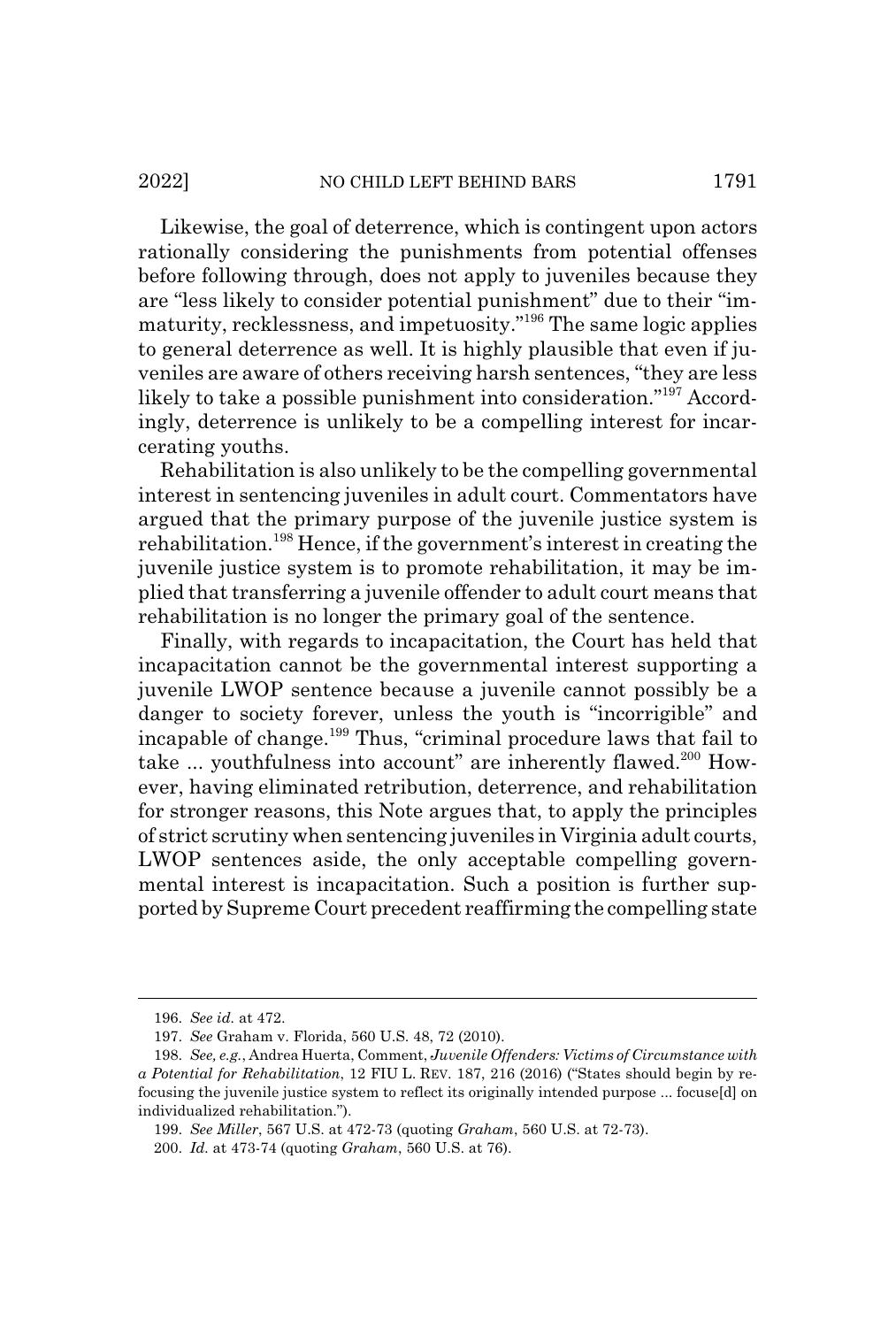Likewise, the goal of deterrence, which is contingent upon actors rationally considering the punishments from potential offenses before following through, does not apply to juveniles because they are "less likely to consider potential punishment" due to their "immaturity, recklessness, and impetuosity."196 The same logic applies to general deterrence as well. It is highly plausible that even if juveniles are aware of others receiving harsh sentences, "they are less likely to take a possible punishment into consideration."197 Accordingly, deterrence is unlikely to be a compelling interest for incarcerating youths.

Rehabilitation is also unlikely to be the compelling governmental interest in sentencing juveniles in adult court. Commentators have argued that the primary purpose of the juvenile justice system is rehabilitation.<sup>198</sup> Hence, if the government's interest in creating the juvenile justice system is to promote rehabilitation, it may be implied that transferring a juvenile offender to adult court means that rehabilitation is no longer the primary goal of the sentence.

Finally, with regards to incapacitation, the Court has held that incapacitation cannot be the governmental interest supporting a juvenile LWOP sentence because a juvenile cannot possibly be a danger to society forever, unless the youth is "incorrigible" and incapable of change.<sup>199</sup> Thus, "criminal procedure laws that fail to take ... youthfulness into account" are inherently flawed.<sup>200</sup> However, having eliminated retribution, deterrence, and rehabilitation for stronger reasons, this Note argues that, to apply the principles of strict scrutiny when sentencing juveniles in Virginia adult courts, LWOP sentences aside, the only acceptable compelling governmental interest is incapacitation. Such a position is further supported by Supreme Court precedent reaffirming the compelling state

<sup>196.</sup> *See id.* at 472.

<sup>197.</sup> *See* Graham v. Florida, 560 U.S. 48, 72 (2010).

<sup>198.</sup> *See, e.g.*, Andrea Huerta, Comment, *Juvenile Offenders: Victims of Circumstance with a Potential for Rehabilitation*, 12 FIU L. REV. 187, 216 (2016) ("States should begin by refocusing the juvenile justice system to reflect its originally intended purpose ... focuse[d] on individualized rehabilitation.").

<sup>199.</sup> *See Miller*, 567 U.S. at 472-73 (quoting *Graham*, 560 U.S. at 72-73).

<sup>200.</sup> *Id.* at 473-74 (quoting *Graham*, 560 U.S. at 76).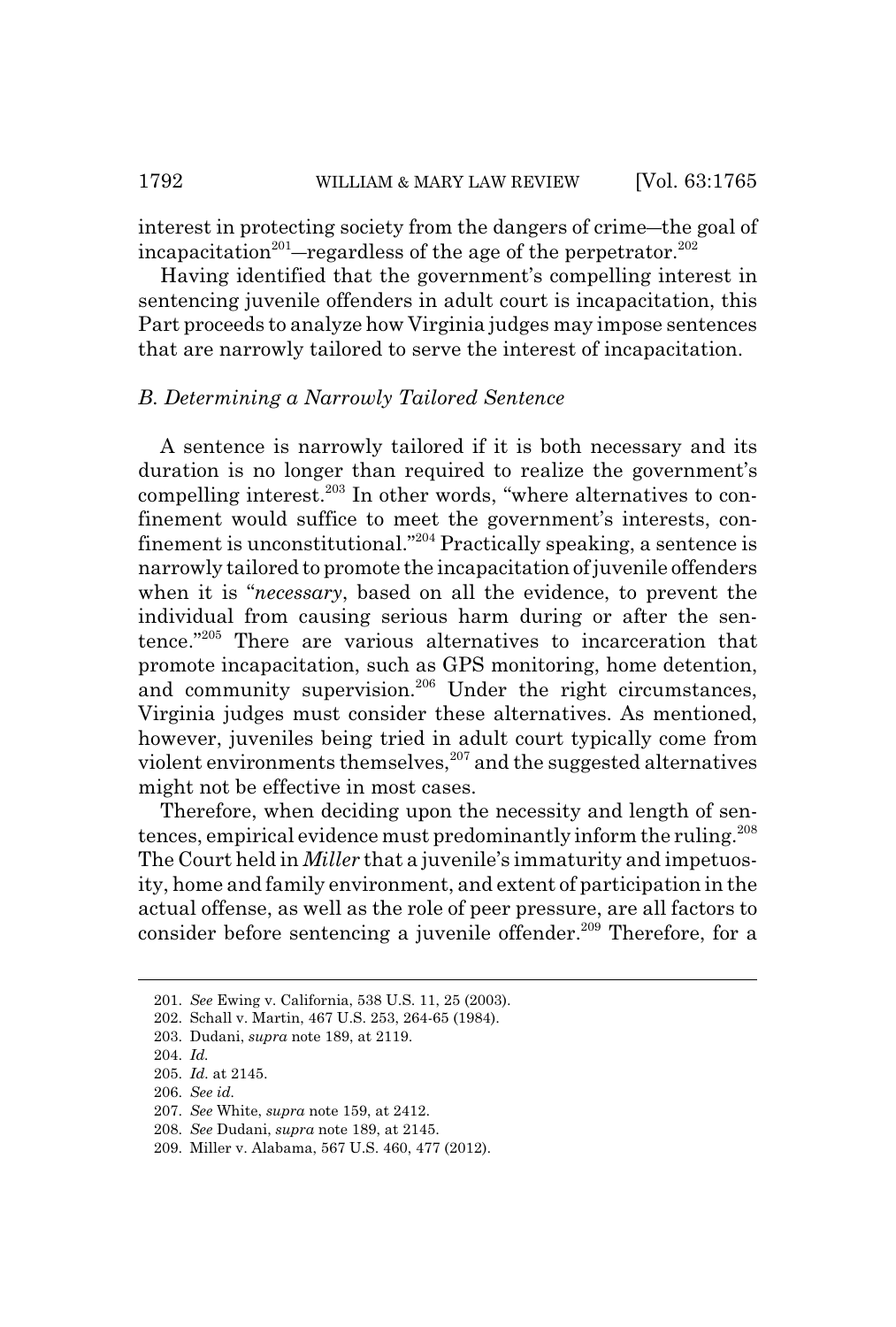interest in protecting society from the dangers of crime—the goal of incapacitation<sup>201</sup>—regardless of the age of the perpetrator.<sup>202</sup>

Having identified that the government's compelling interest in sentencing juvenile offenders in adult court is incapacitation, this Part proceeds to analyze how Virginia judges may impose sentences that are narrowly tailored to serve the interest of incapacitation.

## *B. Determining a Narrowly Tailored Sentence*

A sentence is narrowly tailored if it is both necessary and its duration is no longer than required to realize the government's compelling interest.<sup>203</sup> In other words, "where alternatives to confinement would suffice to meet the government's interests, confinement is unconstitutional."204 Practically speaking, a sentence is narrowly tailored to promote the incapacitation of juvenile offenders when it is "*necessary*, based on all the evidence, to prevent the individual from causing serious harm during or after the sentence."205 There are various alternatives to incarceration that promote incapacitation, such as GPS monitoring, home detention, and community supervision.<sup>206</sup> Under the right circumstances, Virginia judges must consider these alternatives. As mentioned, however, juveniles being tried in adult court typically come from violent environments themselves,<sup>207</sup> and the suggested alternatives might not be effective in most cases.

Therefore, when deciding upon the necessity and length of sentences, empirical evidence must predominantly inform the ruling.<sup>208</sup> The Court held in *Miller* that a juvenile's immaturity and impetuosity, home and family environment, and extent of participation in the actual offense, as well as the role of peer pressure, are all factors to consider before sentencing a juvenile offender.<sup>209</sup> Therefore, for a

<sup>201.</sup> *See* Ewing v. California, 538 U.S. 11, 25 (2003).

<sup>202.</sup> Schall v. Martin, 467 U.S. 253, 264-65 (1984).

<sup>203.</sup> Dudani, *supra* note 189, at 2119.

<sup>204.</sup> *Id.*

<sup>205.</sup> *Id.* at 2145.

<sup>206.</sup> *See id.*

<sup>207.</sup> *See* White, *supra* note 159, at 2412.

<sup>208.</sup> *See* Dudani, *supra* note 189, at 2145.

<sup>209.</sup> Miller v. Alabama, 567 U.S. 460, 477 (2012).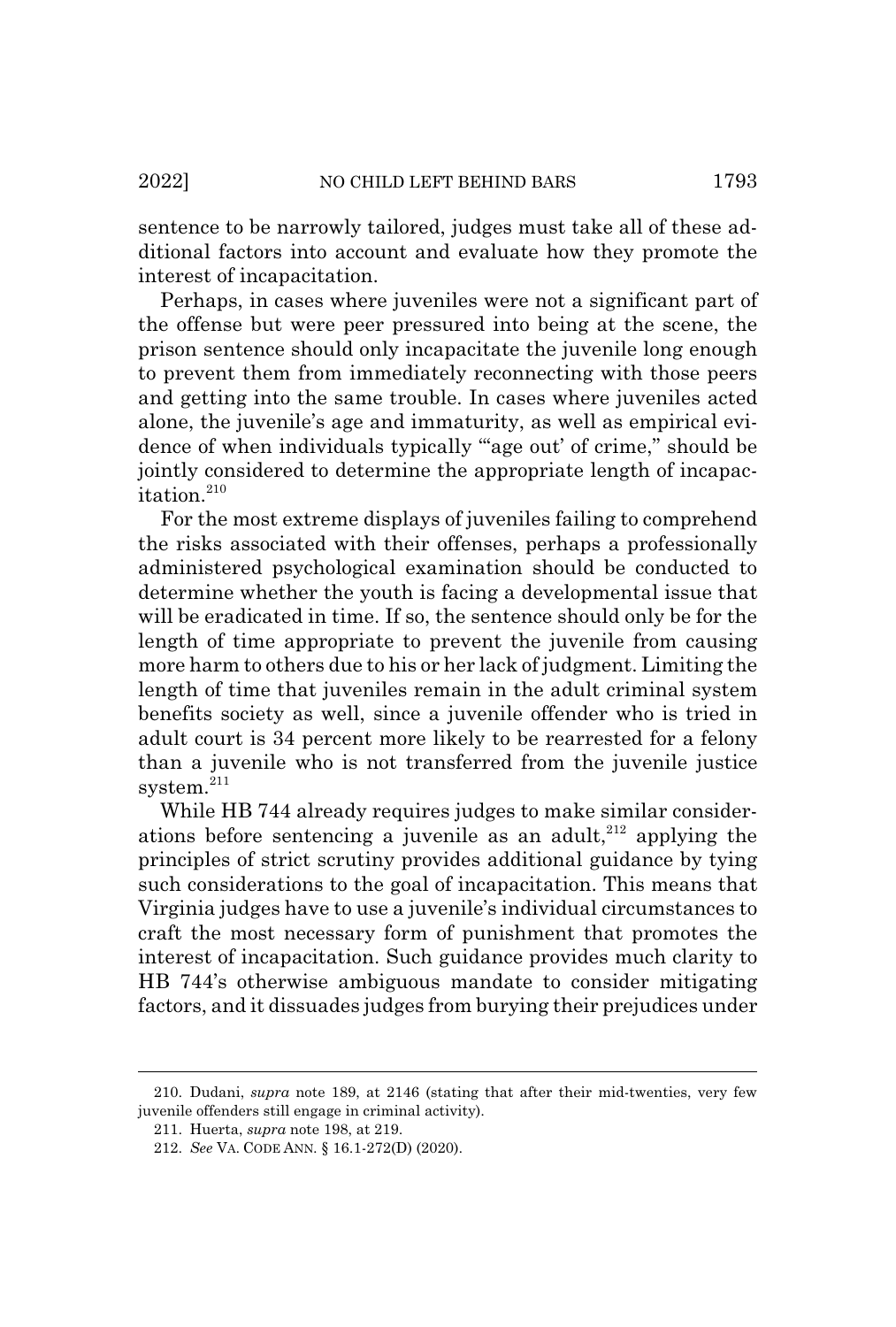sentence to be narrowly tailored, judges must take all of these additional factors into account and evaluate how they promote the interest of incapacitation.

Perhaps, in cases where juveniles were not a significant part of the offense but were peer pressured into being at the scene, the prison sentence should only incapacitate the juvenile long enough to prevent them from immediately reconnecting with those peers and getting into the same trouble. In cases where juveniles acted alone, the juvenile's age and immaturity, as well as empirical evidence of when individuals typically "age out' of crime," should be jointly considered to determine the appropriate length of incapacitation. $210$ 

For the most extreme displays of juveniles failing to comprehend the risks associated with their offenses, perhaps a professionally administered psychological examination should be conducted to determine whether the youth is facing a developmental issue that will be eradicated in time. If so, the sentence should only be for the length of time appropriate to prevent the juvenile from causing more harm to others due to his or her lack of judgment. Limiting the length of time that juveniles remain in the adult criminal system benefits society as well, since a juvenile offender who is tried in adult court is 34 percent more likely to be rearrested for a felony than a juvenile who is not transferred from the juvenile justice system.<sup>211</sup>

While HB 744 already requires judges to make similar considerations before sentencing a juvenile as an adult,  $212$  applying the principles of strict scrutiny provides additional guidance by tying such considerations to the goal of incapacitation. This means that Virginia judges have to use a juvenile's individual circumstances to craft the most necessary form of punishment that promotes the interest of incapacitation. Such guidance provides much clarity to HB 744's otherwise ambiguous mandate to consider mitigating factors, and it dissuades judges from burying their prejudices under

<sup>210.</sup> Dudani, *supra* note 189, at 2146 (stating that after their mid-twenties, very few juvenile offenders still engage in criminal activity).

<sup>211.</sup> Huerta, *supra* note 198, at 219.

<sup>212.</sup> *See* VA. CODE ANN. § 16.1-272(D) (2020).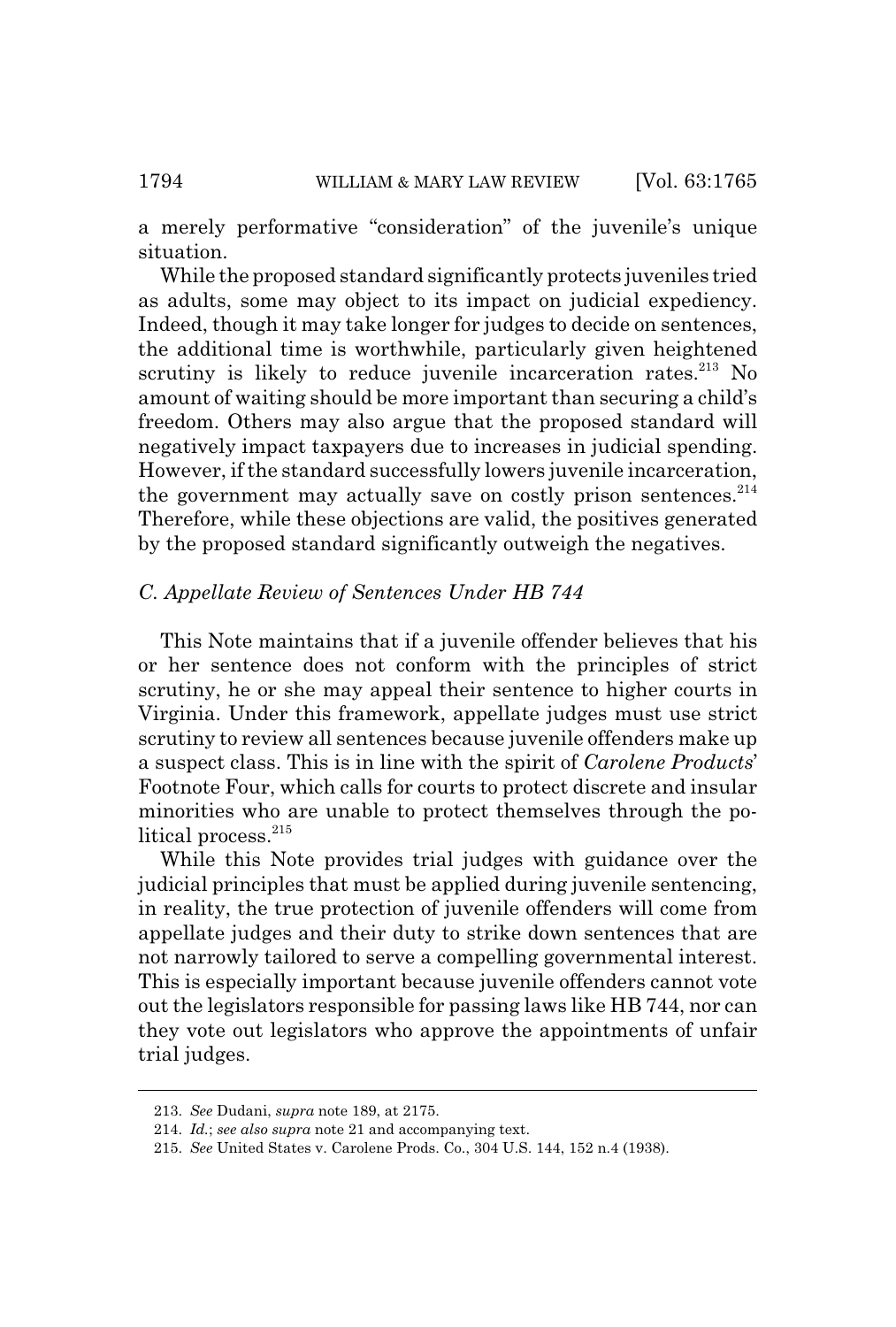a merely performative "consideration" of the juvenile's unique situation.

While the proposed standard significantly protects juveniles tried as adults, some may object to its impact on judicial expediency. Indeed, though it may take longer for judges to decide on sentences, the additional time is worthwhile, particularly given heightened scrutiny is likely to reduce juvenile incarceration rates.<sup>213</sup> No amount of waiting should be more important than securing a child's freedom. Others may also argue that the proposed standard will negatively impact taxpayers due to increases in judicial spending. However, if the standard successfully lowers juvenile incarceration, the government may actually save on costly prison sentences. $214$ Therefore, while these objections are valid, the positives generated by the proposed standard significantly outweigh the negatives.

## *C. Appellate Review of Sentences Under HB 744*

This Note maintains that if a juvenile offender believes that his or her sentence does not conform with the principles of strict scrutiny, he or she may appeal their sentence to higher courts in Virginia. Under this framework, appellate judges must use strict scrutiny to review all sentences because juvenile offenders make up a suspect class. This is in line with the spirit of *Carolene Products*' Footnote Four, which calls for courts to protect discrete and insular minorities who are unable to protect themselves through the political process.<sup>215</sup>

While this Note provides trial judges with guidance over the judicial principles that must be applied during juvenile sentencing, in reality, the true protection of juvenile offenders will come from appellate judges and their duty to strike down sentences that are not narrowly tailored to serve a compelling governmental interest. This is especially important because juvenile offenders cannot vote out the legislators responsible for passing laws like HB 744, nor can they vote out legislators who approve the appointments of unfair trial judges.

<sup>213.</sup> *See* Dudani, *supra* note 189, at 2175.

<sup>214.</sup> *Id.*; *see also supra* note 21 and accompanying text.

<sup>215.</sup> *See* United States v. Carolene Prods. Co., 304 U.S. 144, 152 n.4 (1938).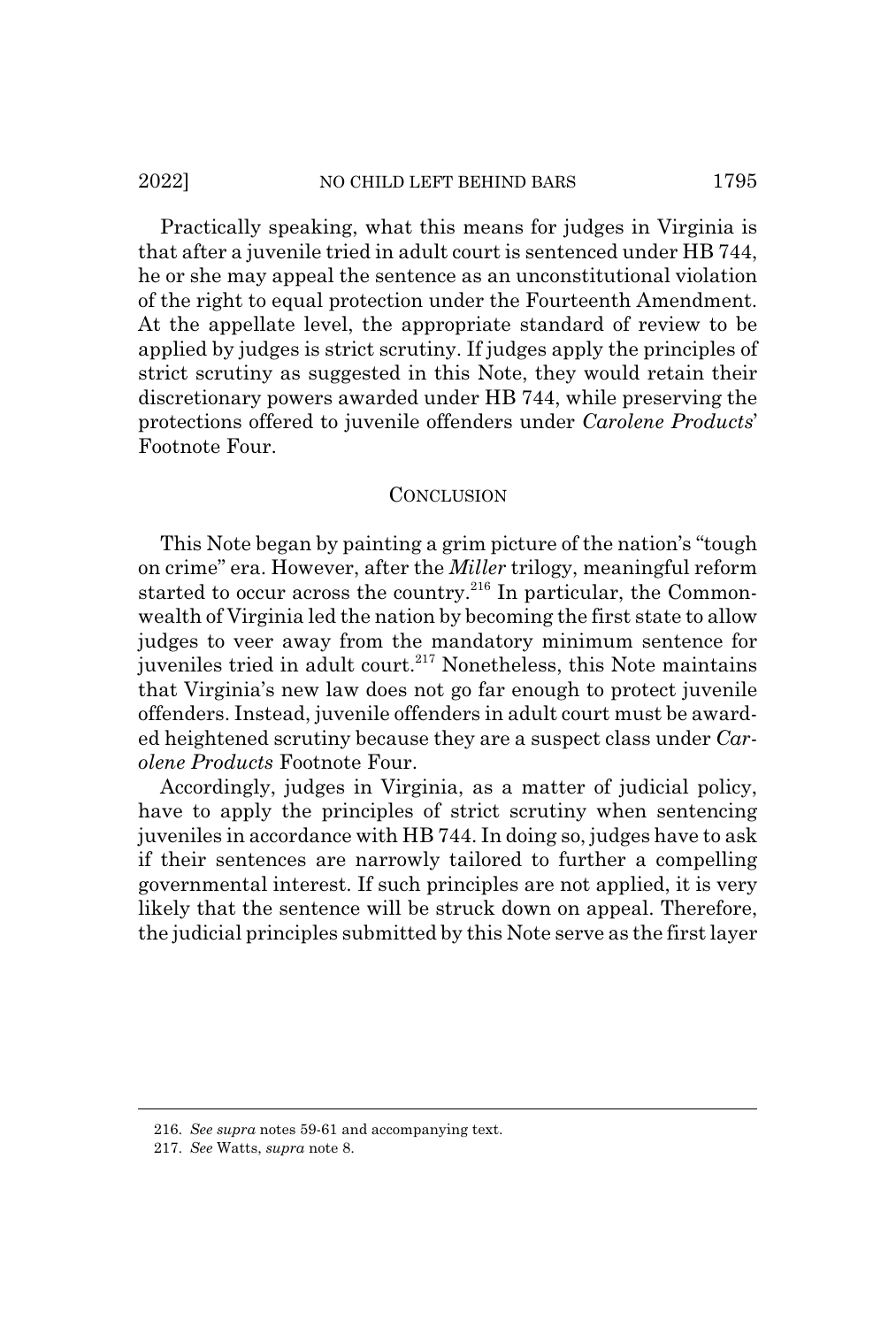### 2022] NO CHILD LEFT BEHIND BARS 1795

Practically speaking, what this means for judges in Virginia is that after a juvenile tried in adult court is sentenced under HB 744, he or she may appeal the sentence as an unconstitutional violation of the right to equal protection under the Fourteenth Amendment. At the appellate level, the appropriate standard of review to be applied by judges is strict scrutiny. If judges apply the principles of strict scrutiny as suggested in this Note, they would retain their discretionary powers awarded under HB 744, while preserving the protections offered to juvenile offenders under *Carolene Products*' Footnote Four.

#### **CONCLUSION**

This Note began by painting a grim picture of the nation's "tough on crime" era. However, after the *Miller* trilogy, meaningful reform started to occur across the country.<sup>216</sup> In particular, the Commonwealth of Virginia led the nation by becoming the first state to allow judges to veer away from the mandatory minimum sentence for juveniles tried in adult court.<sup>217</sup> Nonetheless, this Note maintains that Virginia's new law does not go far enough to protect juvenile offenders. Instead, juvenile offenders in adult court must be awarded heightened scrutiny because they are a suspect class under *Carolene Products* Footnote Four.

Accordingly, judges in Virginia, as a matter of judicial policy, have to apply the principles of strict scrutiny when sentencing juveniles in accordance with HB 744. In doing so, judges have to ask if their sentences are narrowly tailored to further a compelling governmental interest. If such principles are not applied, it is very likely that the sentence will be struck down on appeal. Therefore, the judicial principles submitted by this Note serve as the first layer

<sup>216.</sup> *See supra* notes 59-61 and accompanying text.

<sup>217.</sup> *See* Watts, *supra* note 8.